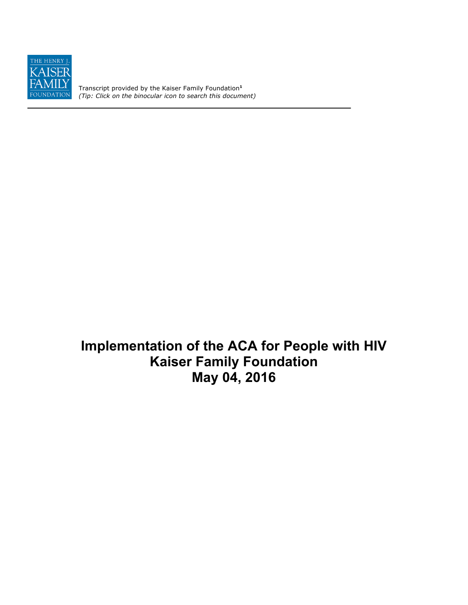

Transcript provided by the Kaiser Family Foundation**<sup>1</sup>** *(Tip: Click on the binocular icon to search this document)*

**Implementation of the ACA for People with HIV Kaiser Family Foundation May 04, 2016**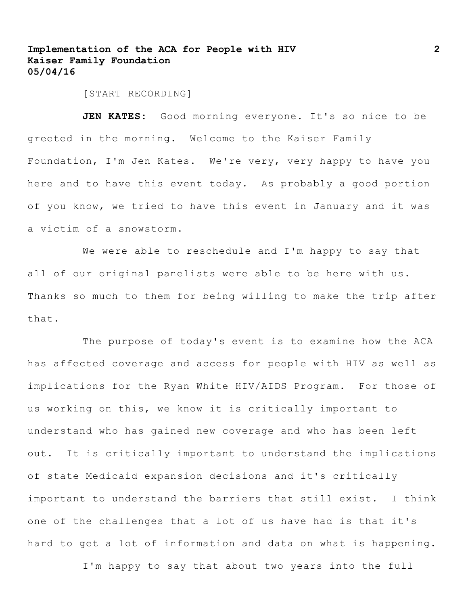[START RECORDING]

JEN KATES: Good morning everyone. It's so nice to be greeted in the morning. Welcome to the Kaiser Family Foundation, I'm Jen Kates. We're very, very happy to have you here and to have this event today. As probably a good portion of you know, we tried to have this event in January and it was a victim of a snowstorm.

We were able to reschedule and I'm happy to say that all of our original panelists were able to be here with us. Thanks so much to them for being willing to make the trip after that.

The purpose of today's event is to examine how the ACA has affected coverage and access for people with HIV as well as implications for the Ryan White HIV/AIDS Program. For those of us working on this, we know it is critically important to understand who has gained new coverage and who has been left out. It is critically important to understand the implications of state Medicaid expansion decisions and it's critically important to understand the barriers that still exist. I think one of the challenges that a lot of us have had is that it's hard to get a lot of information and data on what is happening.

I'm happy to say that about two years into the full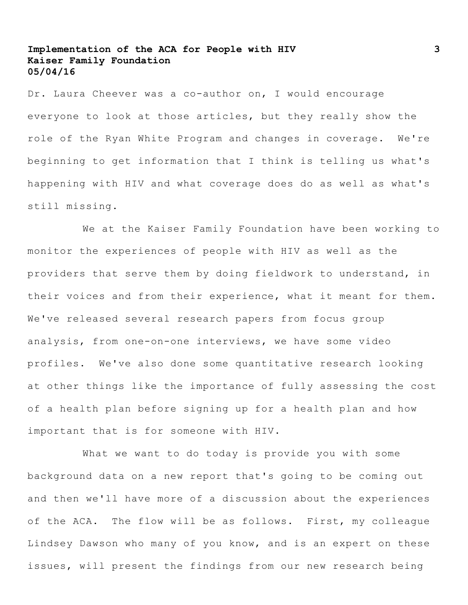Dr. Laura Cheever was a co-author on, I would encourage everyone to look at those articles, but they really show the role of the Ryan White Program and changes in coverage. We're beginning to get information that I think is telling us what's happening with HIV and what coverage does do as well as what's still missing.

We at the Kaiser Family Foundation have been working to monitor the experiences of people with HIV as well as the providers that serve them by doing fieldwork to understand, in their voices and from their experience, what it meant for them. We've released several research papers from focus group analysis, from one-on-one interviews, we have some video profiles. We've also done some quantitative research looking at other things like the importance of fully assessing the cost of a health plan before signing up for a health plan and how important that is for someone with HIV.

What we want to do today is provide you with some background data on a new report that's going to be coming out and then we'll have more of a discussion about the experiences of the ACA. The flow will be as follows. First, my colleague Lindsey Dawson who many of you know, and is an expert on these issues, will present the findings from our new research being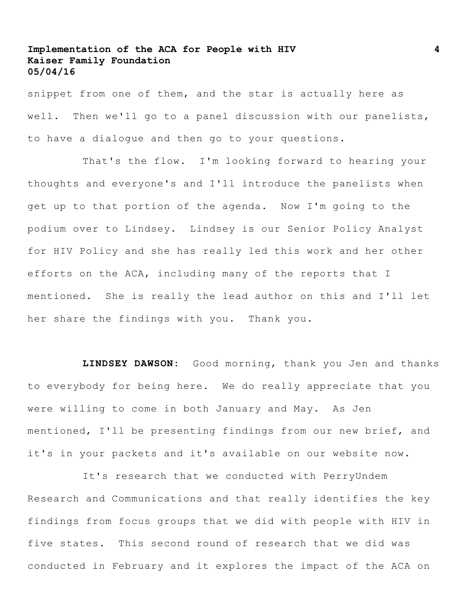snippet from one of them, and the star is actually here as well. Then we'll go to a panel discussion with our panelists, to have a dialogue and then go to your questions.

That's the flow. I'm looking forward to hearing your thoughts and everyone's and I'll introduce the panelists when get up to that portion of the agenda. Now I'm going to the podium over to Lindsey. Lindsey is our Senior Policy Analyst for HIV Policy and she has really led this work and her other efforts on the ACA, including many of the reports that I mentioned. She is really the lead author on this and I'll let her share the findings with you. Thank you.

**LINDSEY DAWSON:** Good morning, thank you Jen and thanks to everybody for being here. We do really appreciate that you were willing to come in both January and May. As Jen mentioned, I'll be presenting findings from our new brief, and it's in your packets and it's available on our website now.

It's research that we conducted with PerryUndem Research and Communications and that really identifies the key findings from focus groups that we did with people with HIV in five states. This second round of research that we did was conducted in February and it explores the impact of the ACA on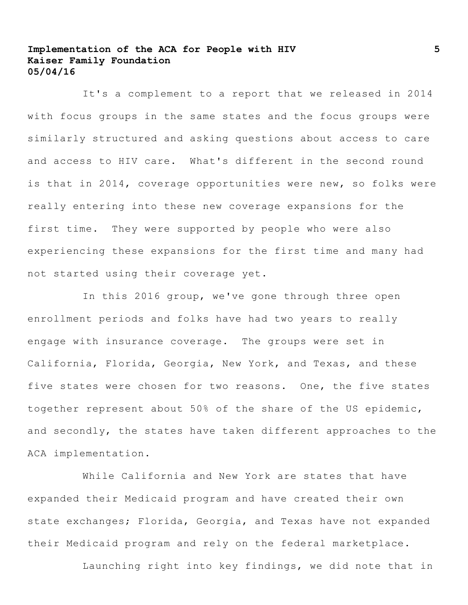It's a complement to a report that we released in 2014 with focus groups in the same states and the focus groups were similarly structured and asking questions about access to care and access to HIV care. What's different in the second round is that in 2014, coverage opportunities were new, so folks were really entering into these new coverage expansions for the first time. They were supported by people who were also experiencing these expansions for the first time and many had not started using their coverage yet.

In this 2016 group, we've gone through three open enrollment periods and folks have had two years to really engage with insurance coverage. The groups were set in California, Florida, Georgia, New York, and Texas, and these five states were chosen for two reasons. One, the five states together represent about 50% of the share of the US epidemic, and secondly, the states have taken different approaches to the ACA implementation.

While California and New York are states that have expanded their Medicaid program and have created their own state exchanges; Florida, Georgia, and Texas have not expanded their Medicaid program and rely on the federal marketplace.

Launching right into key findings, we did note that in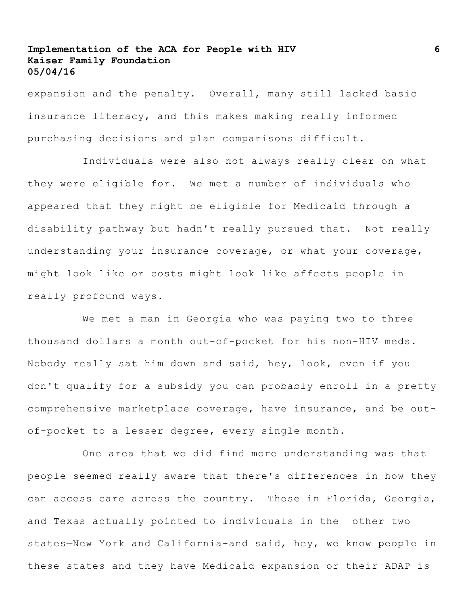expansion and the penalty. Overall, many still lacked basic insurance literacy, and this makes making really informed purchasing decisions and plan comparisons difficult.

Individuals were also not always really clear on what they were eligible for. We met a number of individuals who appeared that they might be eligible for Medicaid through a disability pathway but hadn't really pursued that. Not really understanding your insurance coverage, or what your coverage, might look like or costs might look like affects people in really profound ways.

We met a man in Georgia who was paying two to three thousand dollars a month out-of-pocket for his non-HIV meds. Nobody really sat him down and said, hey, look, even if you don't qualify for a subsidy you can probably enroll in a pretty comprehensive marketplace coverage, have insurance, and be outof-pocket to a lesser degree, every single month.

One area that we did find more understanding was that people seemed really aware that there's differences in how they can access care across the country. Those in Florida, Georgia, and Texas actually pointed to individuals in the other two states—New York and California-and said, hey, we know people in these states and they have Medicaid expansion or their ADAP is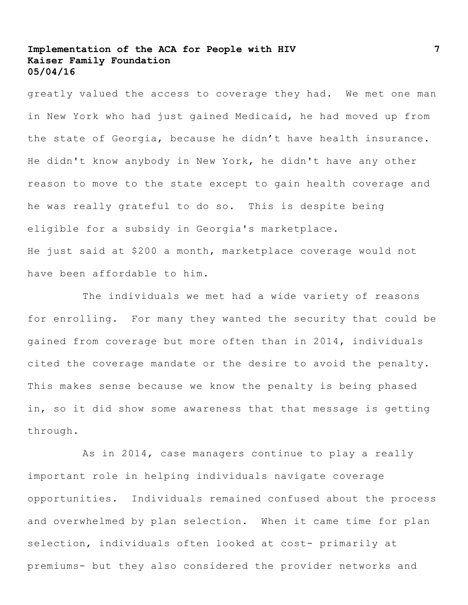greatly valued the access to coverage they had. We met one man in New York who had just gained Medicaid, he had moved up from the state of Georgia, because he didn't have health insurance. He didn't know anybody in New York, he didn't have any other reason to move to the state except to gain health coverage and he was really grateful to do so. This is despite being eligible for a subsidy in Georgia's marketplace. He just said at \$200 a month, marketplace coverage would not have been affordable to him.

The individuals we met had a wide variety of reasons for enrolling. For many they wanted the security that could be gained from coverage but more often than in 2014, individuals cited the coverage mandate or the desire to avoid the penalty. This makes sense because we know the penalty is being phased in, so it did show some awareness that that message is getting through.

As in 2014, case managers continue to play a really important role in helping individuals navigate coverage opportunities. Individuals remained confused about the process and overwhelmed by plan selection. When it came time for plan selection, individuals often looked at cost- primarily at premiums- but they also considered the provider networks and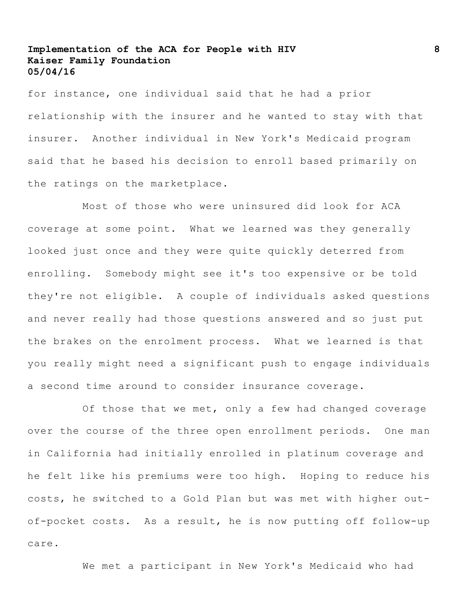for instance, one individual said that he had a prior relationship with the insurer and he wanted to stay with that insurer. Another individual in New York's Medicaid program said that he based his decision to enroll based primarily on the ratings on the marketplace.

Most of those who were uninsured did look for ACA coverage at some point. What we learned was they generally looked just once and they were quite quickly deterred from enrolling. Somebody might see it's too expensive or be told they're not eligible. A couple of individuals asked questions and never really had those questions answered and so just put the brakes on the enrolment process. What we learned is that you really might need a significant push to engage individuals a second time around to consider insurance coverage**.**

Of those that we met, only a few had changed coverage over the course of the three open enrollment periods. One man in California had initially enrolled in platinum coverage and he felt like his premiums were too high. Hoping to reduce his costs, he switched to a Gold Plan but was met with higher outof-pocket costs. As a result, he is now putting off follow-up care.

We met a participant in New York's Medicaid who had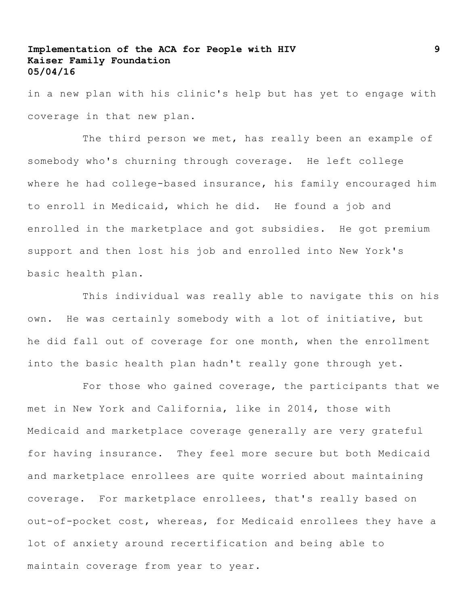in a new plan with his clinic's help but has yet to engage with coverage in that new plan.

The third person we met, has really been an example of somebody who's churning through coverage. He left college where he had college-based insurance, his family encouraged him to enroll in Medicaid, which he did. He found a job and enrolled in the marketplace and got subsidies. He got premium support and then lost his job and enrolled into New York's basic health plan.

This individual was really able to navigate this on his own. He was certainly somebody with a lot of initiative, but he did fall out of coverage for one month, when the enrollment into the basic health plan hadn't really gone through yet.

For those who gained coverage, the participants that we met in New York and California, like in 2014, those with Medicaid and marketplace coverage generally are very grateful for having insurance. They feel more secure but both Medicaid and marketplace enrollees are quite worried about maintaining coverage. For marketplace enrollees, that's really based on out-of-pocket cost, whereas, for Medicaid enrollees they have a lot of anxiety around recertification and being able to maintain coverage from year to year.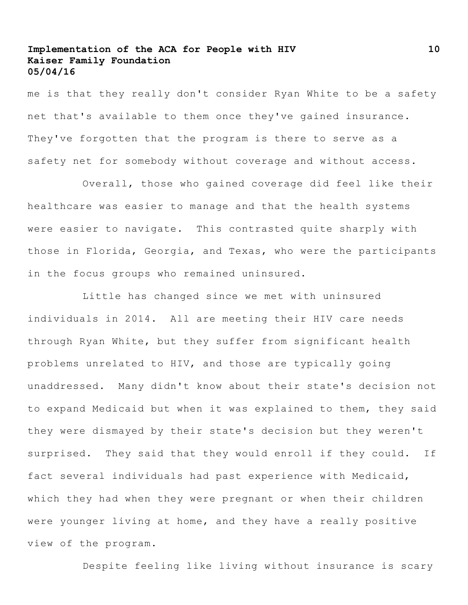me is that they really don't consider Ryan White to be a safety net that's available to them once they've gained insurance. They've forgotten that the program is there to serve as a safety net for somebody without coverage and without access**.** 

Overall, those who gained coverage did feel like their healthcare was easier to manage and that the health systems were easier to navigate. This contrasted quite sharply with those in Florida, Georgia, and Texas, who were the participants in the focus groups who remained uninsured.

Little has changed since we met with uninsured individuals in 2014. All are meeting their HIV care needs through Ryan White, but they suffer from significant health problems unrelated to HIV, and those are typically going unaddressed. Many didn't know about their state's decision not to expand Medicaid but when it was explained to them, they said they were dismayed by their state's decision but they weren't surprised. They said that they would enroll if they could. If fact several individuals had past experience with Medicaid, which they had when they were pregnant or when their children were younger living at home, and they have a really positive view of the program.

Despite feeling like living without insurance is scary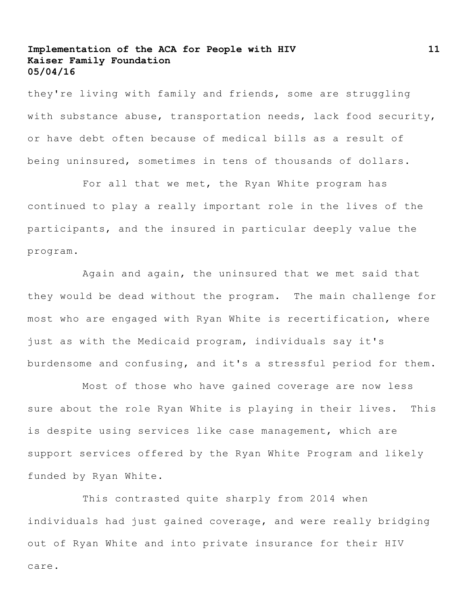they're living with family and friends, some are struggling with substance abuse, transportation needs, lack food security, or have debt often because of medical bills as a result of being uninsured, sometimes in tens of thousands of dollars.

For all that we met, the Ryan White program has continued to play a really important role in the lives of the participants, and the insured in particular deeply value the program.

Again and again, the uninsured that we met said that they would be dead without the program. The main challenge for most who are engaged with Ryan White is recertification, where just as with the Medicaid program, individuals say it's burdensome and confusing, and it's a stressful period for them.

Most of those who have gained coverage are now less sure about the role Ryan White is playing in their lives. This is despite using services like case management, which are support services offered by the Ryan White Program and likely funded by Ryan White.

This contrasted quite sharply from 2014 when individuals had just gained coverage, and were really bridging out of Ryan White and into private insurance for their HIV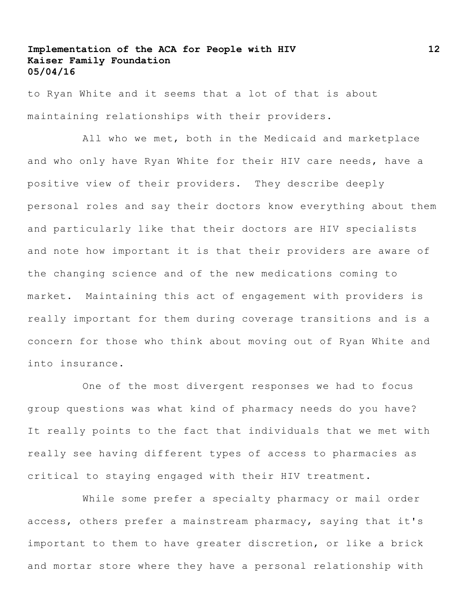to Ryan White and it seems that a lot of that is about maintaining relationships with their providers.

All who we met, both in the Medicaid and marketplace and who only have Ryan White for their HIV care needs, have a positive view of their providers. They describe deeply personal roles and say their doctors know everything about them and particularly like that their doctors are HIV specialists and note how important it is that their providers are aware of the changing science and of the new medications coming to market. Maintaining this act of engagement with providers is really important for them during coverage transitions and is a concern for those who think about moving out of Ryan White and into insurance.

One of the most divergent responses we had to focus group questions was what kind of pharmacy needs do you have? It really points to the fact that individuals that we met with really see having different types of access to pharmacies as critical to staying engaged with their HIV treatment.

While some prefer a specialty pharmacy or mail order access, others prefer a mainstream pharmacy, saying that it's important to them to have greater discretion, or like a brick and mortar store where they have a personal relationship with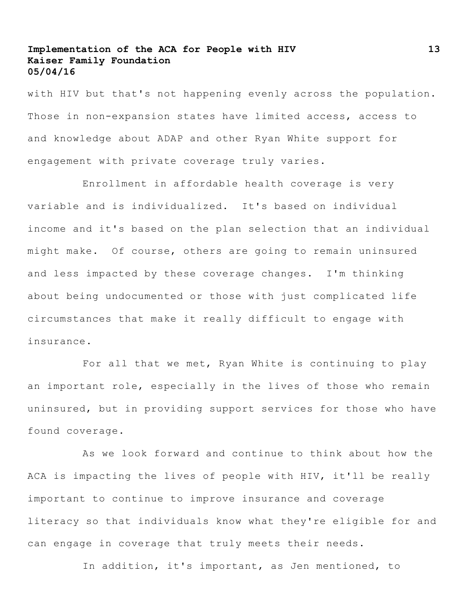with HIV but that's not happening evenly across the population. Those in non-expansion states have limited access, access to and knowledge about ADAP and other Ryan White support for engagement with private coverage truly varies.

Enrollment in affordable health coverage is very variable and is individualized. It's based on individual income and it's based on the plan selection that an individual might make. Of course, others are going to remain uninsured and less impacted by these coverage changes. I'm thinking about being undocumented or those with just complicated life circumstances that make it really difficult to engage with insurance.

For all that we met, Ryan White is continuing to play an important role, especially in the lives of those who remain uninsured, but in providing support services for those who have found coverage.

As we look forward and continue to think about how the ACA is impacting the lives of people with HIV, it'll be really important to continue to improve insurance and coverage literacy so that individuals know what they're eligible for and can engage in coverage that truly meets their needs.

In addition, it's important, as Jen mentioned, to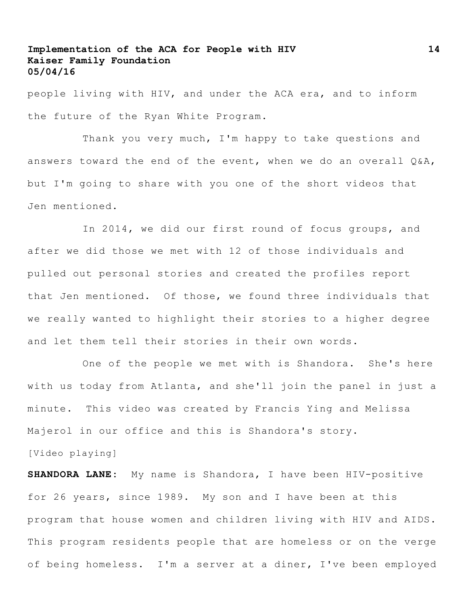people living with HIV, and under the ACA era, and to inform the future of the Ryan White Program.

Thank you very much, I'm happy to take questions and answers toward the end of the event, when we do an overall Q&A, but I'm going to share with you one of the short videos that Jen mentioned.

In 2014, we did our first round of focus groups, and after we did those we met with 12 of those individuals and pulled out personal stories and created the profiles report that Jen mentioned. Of those, we found three individuals that we really wanted to highlight their stories to a higher degree and let them tell their stories in their own words.

One of the people we met with is Shandora. She's here with us today from Atlanta, and she'll join the panel in just a minute. This video was created by Francis Ying and Melissa Majerol in our office and this is Shandora's story. [Video playing]

**SHANDORA LANE:** My name is Shandora, I have been HIV-positive for 26 years, since 1989. My son and I have been at this program that house women and children living with HIV and AIDS. This program residents people that are homeless or on the verge of being homeless. I'm a server at a diner, I've been employed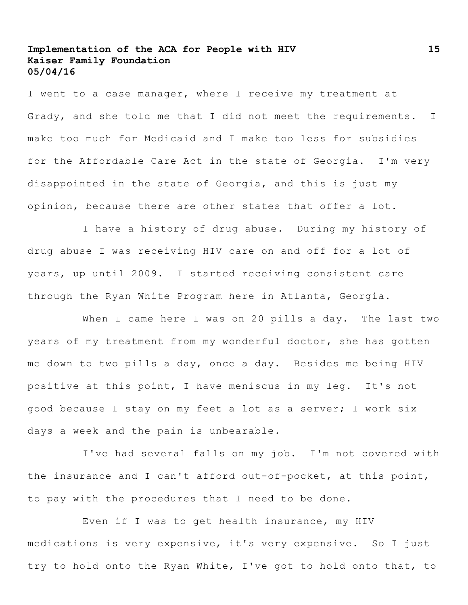I went to a case manager, where I receive my treatment at Grady, and she told me that I did not meet the requirements. I make too much for Medicaid and I make too less for subsidies for the Affordable Care Act in the state of Georgia. I'm very disappointed in the state of Georgia, and this is just my opinion, because there are other states that offer a lot.

I have a history of drug abuse. During my history of drug abuse I was receiving HIV care on and off for a lot of years, up until 2009. I started receiving consistent care through the Ryan White Program here in Atlanta, Georgia.

When I came here I was on 20 pills a day. The last two years of my treatment from my wonderful doctor, she has gotten me down to two pills a day, once a day. Besides me being HIV positive at this point, I have meniscus in my leg. It's not good because I stay on my feet a lot as a server; I work six days a week and the pain is unbearable.

I've had several falls on my job. I'm not covered with the insurance and I can't afford out-of-pocket, at this point, to pay with the procedures that I need to be done**.**

Even if I was to get health insurance, my HIV medications is very expensive, it's very expensive. So I just try to hold onto the Ryan White, I've got to hold onto that, to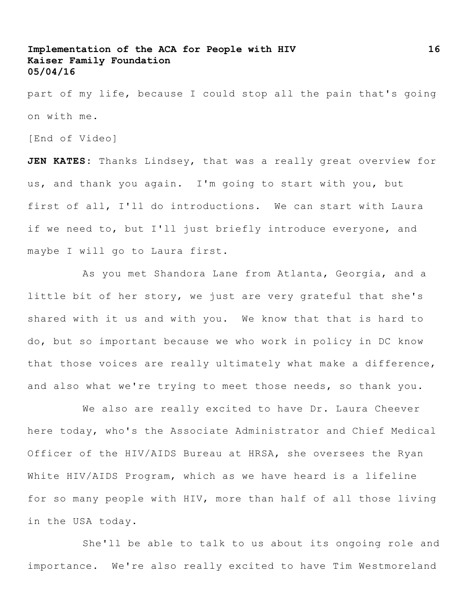part of my life, because I could stop all the pain that's going on with me.

[End of Video]

**JEN KATES:** Thanks Lindsey, that was a really great overview for us, and thank you again. I'm going to start with you, but first of all, I'll do introductions. We can start with Laura if we need to, but I'll just briefly introduce everyone, and maybe I will go to Laura first.

As you met Shandora Lane from Atlanta, Georgia, and a little bit of her story, we just are very grateful that she's shared with it us and with you. We know that that is hard to do, but so important because we who work in policy in DC know that those voices are really ultimately what make a difference, and also what we're trying to meet those needs, so thank you.

We also are really excited to have Dr. Laura Cheever here today, who's the Associate Administrator and Chief Medical Officer of the HIV/AIDS Bureau at HRSA, she oversees the Ryan White HIV/AIDS Program, which as we have heard is a lifeline for so many people with HIV, more than half of all those living in the USA today.

She'll be able to talk to us about its ongoing role and importance. We're also really excited to have Tim Westmoreland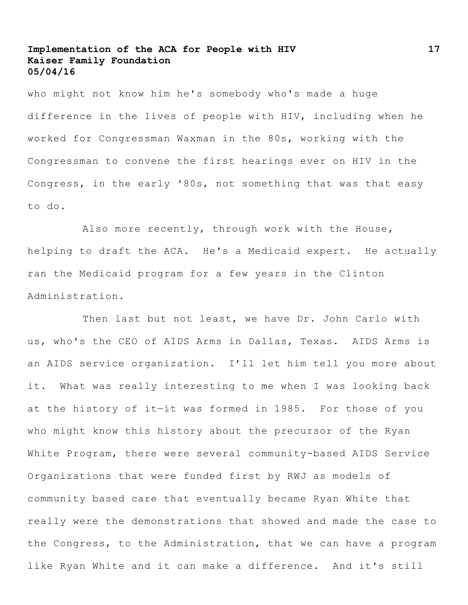who might not know him he's somebody who's made a huge difference in the lives of people with HIV, including when he worked for Congressman Waxman in the 80s, working with the Congressman to convene the first hearings ever on HIV in the Congress, in the early '80s, not something that was that easy to do.

Also more recently, through work with the House, helping to draft the ACA. He's a Medicaid expert. He actually ran the Medicaid program for a few years in the Clinton Administration.

Then last but not least, we have Dr. John Carlo with us, who's the CEO of AIDS Arms in Dallas, Texas. AIDS Arms is an AIDS service organization. I'll let him tell you more about it. What was really interesting to me when I was looking back at the history of it—it was formed in 1985. For those of you who might know this history about the precursor of the Ryan White Program, there were several community-based AIDS Service Organizations that were funded first by RWJ as models of community based care that eventually became Ryan White that really were the demonstrations that showed and made the case to the Congress, to the Administration, that we can have a program like Ryan White and it can make a difference. And it's still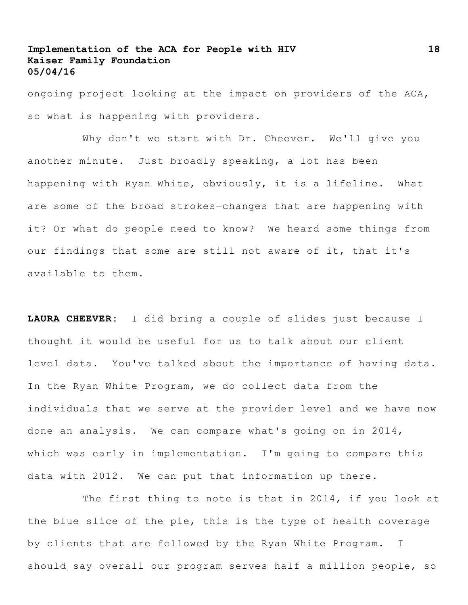ongoing project looking at the impact on providers of the ACA, so what is happening with providers.

Why don't we start with Dr. Cheever. We'll give you another minute. Just broadly speaking, a lot has been happening with Ryan White, obviously, it is a lifeline. What are some of the broad strokes—changes that are happening with it? Or what do people need to know? We heard some things from our findings that some are still not aware of it, that it's available to them.

**LAURA CHEEVER:** I did bring a couple of slides just because I thought it would be useful for us to talk about our client level data. You've talked about the importance of having data. In the Ryan White Program, we do collect data from the individuals that we serve at the provider level and we have now done an analysis. We can compare what's going on in 2014, which was early in implementation. I'm going to compare this data with 2012. We can put that information up there.

The first thing to note is that in 2014, if you look at the blue slice of the pie, this is the type of health coverage by clients that are followed by the Ryan White Program. I should say overall our program serves half a million people, so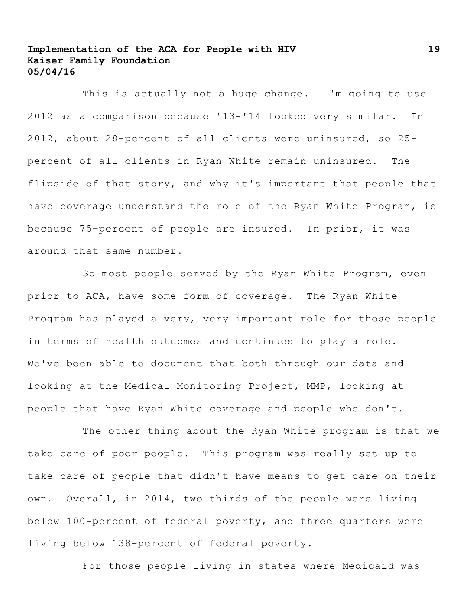This is actually not a huge change. I'm going to use 2012 as a comparison because '13-'14 looked very similar. In 2012, about 28-percent of all clients were uninsured, so 25 percent of all clients in Ryan White remain uninsured. The flipside of that story, and why it's important that people that have coverage understand the role of the Ryan White Program, is because 75-percent of people are insured. In prior, it was around that same number.

So most people served by the Ryan White Program, even prior to ACA, have some form of coverage. The Ryan White Program has played a very, very important role for those people in terms of health outcomes and continues to play a role. We've been able to document that both through our data and looking at the Medical Monitoring Project, MMP, looking at people that have Ryan White coverage and people who don't.

The other thing about the Ryan White program is that we take care of poor people. This program was really set up to take care of people that didn't have means to get care on their own. Overall, in 2014, two thirds of the people were living below 100-percent of federal poverty, and three quarters were living below 138-percent of federal poverty.

For those people living in states where Medicaid was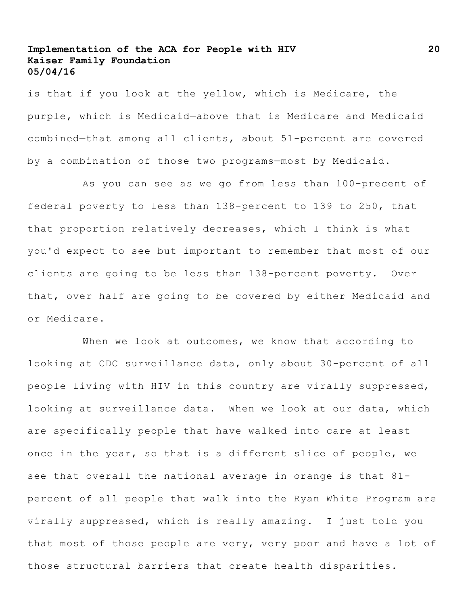is that if you look at the yellow, which is Medicare, the purple, which is Medicaid—above that is Medicare and Medicaid combined—that among all clients, about 51-percent are covered by a combination of those two programs—most by Medicaid.

As you can see as we go from less than 100-precent of federal poverty to less than 138-percent to 139 to 250, that that proportion relatively decreases, which I think is what you'd expect to see but important to remember that most of our clients are going to be less than 138-percent poverty. Over that, over half are going to be covered by either Medicaid and or Medicare.

When we look at outcomes, we know that according to looking at CDC surveillance data, only about 30-percent of all people living with HIV in this country are virally suppressed, looking at surveillance data. When we look at our data, which are specifically people that have walked into care at least once in the year, so that is a different slice of people, we see that overall the national average in orange is that 81 percent of all people that walk into the Ryan White Program are virally suppressed, which is really amazing. I just told you that most of those people are very, very poor and have a lot of those structural barriers that create health disparities.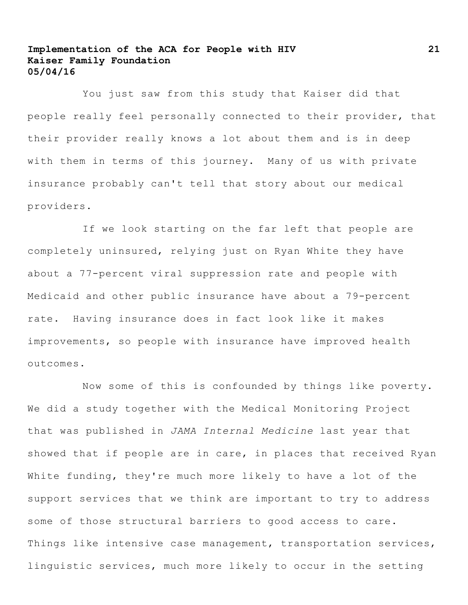You just saw from this study that Kaiser did that people really feel personally connected to their provider, that their provider really knows a lot about them and is in deep with them in terms of this journey. Many of us with private insurance probably can't tell that story about our medical providers.

If we look starting on the far left that people are completely uninsured, relying just on Ryan White they have about a 77-percent viral suppression rate and people with Medicaid and other public insurance have about a 79-percent rate. Having insurance does in fact look like it makes improvements, so people with insurance have improved health outcomes.

Now some of this is confounded by things like poverty. We did a study together with the Medical Monitoring Project that was published in *JAMA Internal Medicine* last year that showed that if people are in care, in places that received Ryan White funding, they're much more likely to have a lot of the support services that we think are important to try to address some of those structural barriers to good access to care. Things like intensive case management, transportation services, linguistic services, much more likely to occur in the setting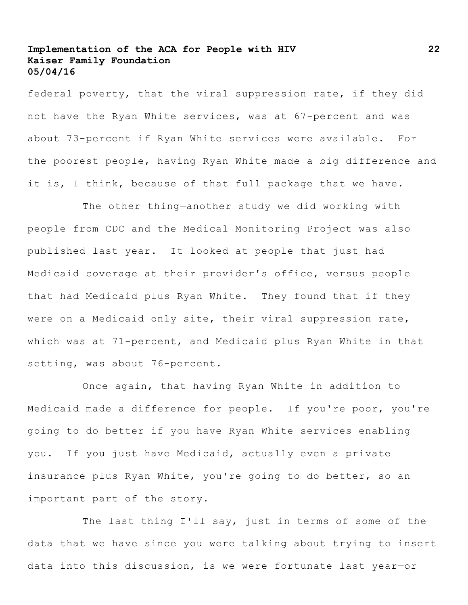federal poverty, that the viral suppression rate, if they did not have the Ryan White services, was at 67-percent and was about 73-percent if Ryan White services were available. For the poorest people, having Ryan White made a big difference and it is, I think, because of that full package that we have.

The other thing—another study we did working with people from CDC and the Medical Monitoring Project was also published last year. It looked at people that just had Medicaid coverage at their provider's office, versus people that had Medicaid plus Ryan White. They found that if they were on a Medicaid only site, their viral suppression rate, which was at 71-percent, and Medicaid plus Ryan White in that setting, was about 76-percent.

Once again, that having Ryan White in addition to Medicaid made a difference for people. If you're poor, you're going to do better if you have Ryan White services enabling you. If you just have Medicaid, actually even a private insurance plus Ryan White, you're going to do better, so an important part of the story.

The last thing I'll say, just in terms of some of the data that we have since you were talking about trying to insert data into this discussion, is we were fortunate last year—or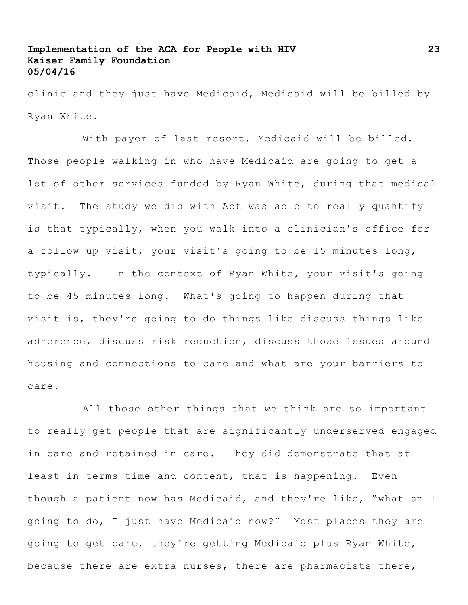clinic and they just have Medicaid, Medicaid will be billed by Ryan White.

With payer of last resort, Medicaid will be billed. Those people walking in who have Medicaid are going to get a lot of other services funded by Ryan White, during that medical visit. The study we did with Abt was able to really quantify is that typically, when you walk into a clinician's office for a follow up visit, your visit's going to be 15 minutes long, typically. In the context of Ryan White, your visit's going to be 45 minutes long. What's going to happen during that visit is, they're going to do things like discuss things like adherence, discuss risk reduction, discuss those issues around housing and connections to care and what are your barriers to care.

All those other things that we think are so important to really get people that are significantly underserved engaged in care and retained in care. They did demonstrate that at least in terms time and content, that is happening. Even though a patient now has Medicaid, and they're like, "what am I going to do, I just have Medicaid now?" Most places they are going to get care, they're getting Medicaid plus Ryan White, because there are extra nurses, there are pharmacists there,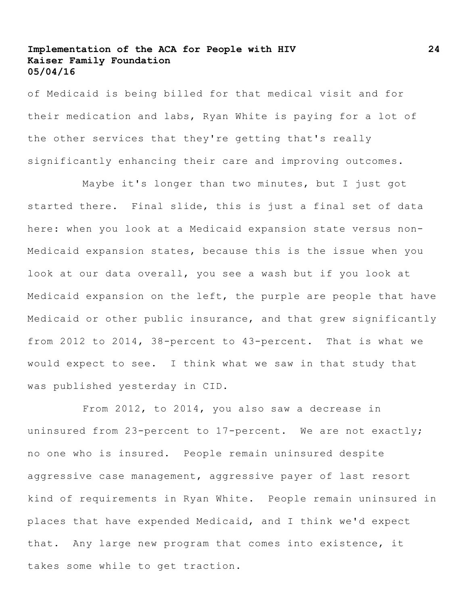of Medicaid is being billed for that medical visit and for their medication and labs, Ryan White is paying for a lot of the other services that they're getting that's really significantly enhancing their care and improving outcomes.

Maybe it's longer than two minutes, but I just got started there. Final slide, this is just a final set of data here: when you look at a Medicaid expansion state versus non-Medicaid expansion states, because this is the issue when you look at our data overall, you see a wash but if you look at Medicaid expansion on the left, the purple are people that have Medicaid or other public insurance, and that grew significantly from 2012 to 2014, 38-percent to 43-percent. That is what we would expect to see. I think what we saw in that study that was published yesterday in CID.

From 2012, to 2014, you also saw a decrease in uninsured from 23-percent to 17-percent. We are not exactly; no one who is insured. People remain uninsured despite aggressive case management, aggressive payer of last resort kind of requirements in Ryan White**.** People remain uninsured in places that have expended Medicaid, and I think we'd expect that. Any large new program that comes into existence, it takes some while to get traction.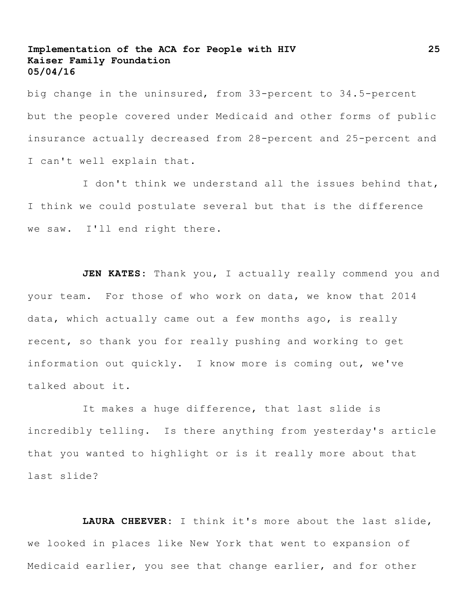big change in the uninsured, from 33-percent to 34.5-percent but the people covered under Medicaid and other forms of public insurance actually decreased from 28-percent and 25-percent and I can't well explain that.

I don't think we understand all the issues behind that, I think we could postulate several but that is the difference we saw. I'll end right there.

JEN KATES: Thank you, I actually really commend you and your team. For those of who work on data, we know that 2014 data, which actually came out a few months ago, is really recent, so thank you for really pushing and working to get information out quickly. I know more is coming out, we've talked about it.

It makes a huge difference, that last slide is incredibly telling. Is there anything from yesterday's article that you wanted to highlight or is it really more about that last slide?

**LAURA CHEEVER:** I think it's more about the last slide, we looked in places like New York that went to expansion of Medicaid earlier, you see that change earlier, and for other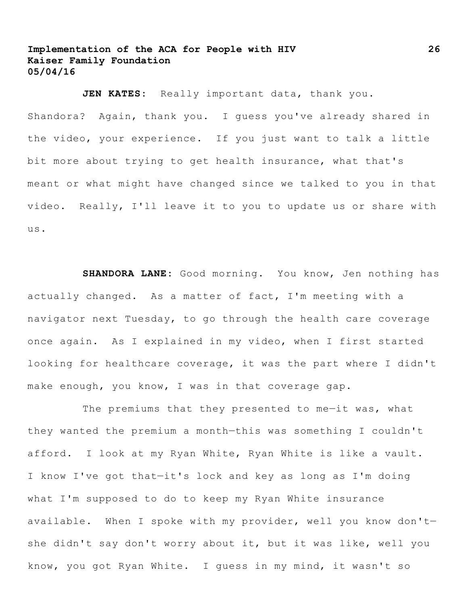**JEN KATES:** Really important data, thank you.

Shandora? Again, thank you. I guess you've already shared in the video, your experience. If you just want to talk a little bit more about trying to get health insurance, what that's meant or what might have changed since we talked to you in that video. Really, I'll leave it to you to update us or share with us.

**SHANDORA LANE:** Good morning. You know, Jen nothing has actually changed. As a matter of fact, I'm meeting with a navigator next Tuesday, to go through the health care coverage once again. As I explained in my video, when I first started looking for healthcare coverage, it was the part where I didn't make enough, you know, I was in that coverage gap.

The premiums that they presented to me-it was, what they wanted the premium a month—this was something I couldn't afford. I look at my Ryan White, Ryan White is like a vault. I know I've got that—it's lock and key as long as I'm doing what I'm supposed to do to keep my Ryan White insurance available. When I spoke with my provider, well you know don't she didn't say don't worry about it, but it was like, well you know, you got Ryan White. I guess in my mind, it wasn't so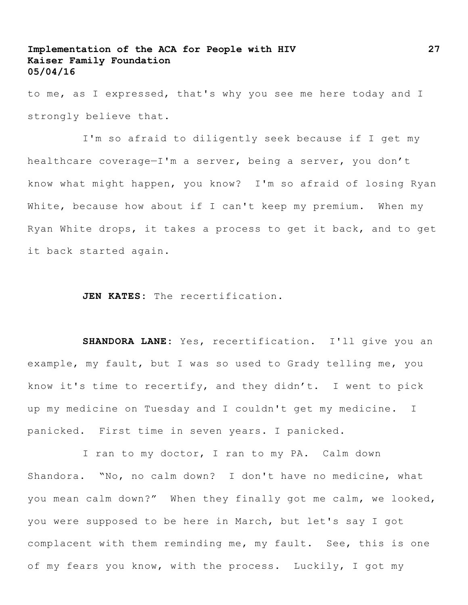to me, as I expressed, that's why you see me here today and I strongly believe that.

I'm so afraid to diligently seek because if I get my healthcare coverage—I'm a server, being a server, you don't know what might happen, you know? I'm so afraid of losing Ryan White, because how about if I can't keep my premium. When my Ryan White drops, it takes a process to get it back, and to get it back started again.

**JEN KATES:** The recertification.

**SHANDORA LANE:** Yes, recertification. I'll give you an example, my fault, but I was so used to Grady telling me, you know it's time to recertify, and they didn't. I went to pick up my medicine on Tuesday and I couldn't get my medicine. I panicked. First time in seven years. I panicked.

I ran to my doctor, I ran to my PA. Calm down Shandora. "No, no calm down? I don't have no medicine, what you mean calm down?" When they finally got me calm, we looked, you were supposed to be here in March, but let's say I got complacent with them reminding me, my fault. See, this is one of my fears you know, with the process. Luckily, I got my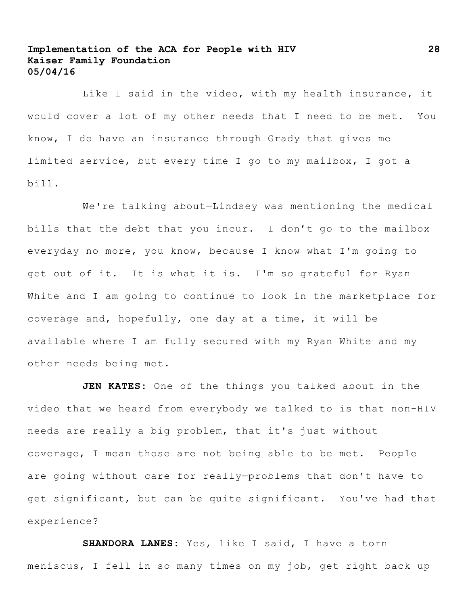Like I said in the video, with my health insurance, it would cover a lot of my other needs that I need to be met. You know, I do have an insurance through Grady that gives me limited service, but every time I go to my mailbox, I got a bill.

We're talking about—Lindsey was mentioning the medical bills that the debt that you incur. I don't go to the mailbox everyday no more, you know, because I know what I'm going to get out of it. It is what it is. I'm so grateful for Ryan White and I am going to continue to look in the marketplace for coverage and, hopefully, one day at a time, it will be available where I am fully secured with my Ryan White and my other needs being met.

**JEN KATES:** One of the things you talked about in the video that we heard from everybody we talked to is that non-HIV needs are really a big problem, that it's just without coverage, I mean those are not being able to be met. People are going without care for really—problems that don't have to get significant, but can be quite significant. You've had that experience?

**SHANDORA LANES:** Yes, like I said, I have a torn meniscus, I fell in so many times on my job, get right back up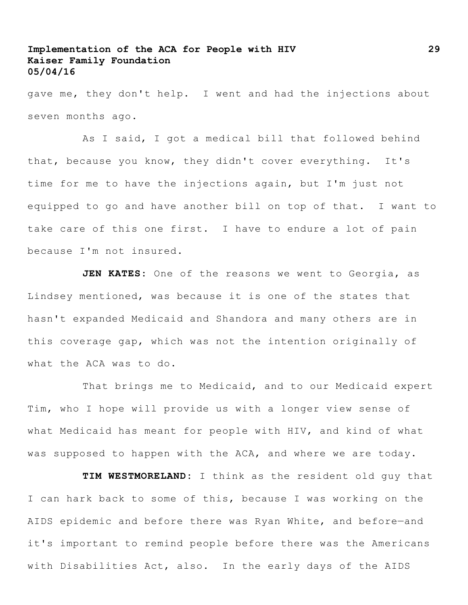gave me, they don't help. I went and had the injections about seven months ago.

As I said, I got a medical bill that followed behind that, because you know, they didn't cover everything. It's time for me to have the injections again, but I'm just not equipped to go and have another bill on top of that. I want to take care of this one first. I have to endure a lot of pain because I'm not insured.

**JEN KATES:** One of the reasons we went to Georgia, as Lindsey mentioned, was because it is one of the states that hasn't expanded Medicaid and Shandora and many others are in this coverage gap, which was not the intention originally of what the ACA was to do.

That brings me to Medicaid, and to our Medicaid expert Tim, who I hope will provide us with a longer view sense of what Medicaid has meant for people with HIV, and kind of what was supposed to happen with the ACA, and where we are today.

**TIM WESTMORELAND:** I think as the resident old guy that I can hark back to some of this, because I was working on the AIDS epidemic and before there was Ryan White, and before—and it's important to remind people before there was the Americans with Disabilities Act, also. In the early days of the AIDS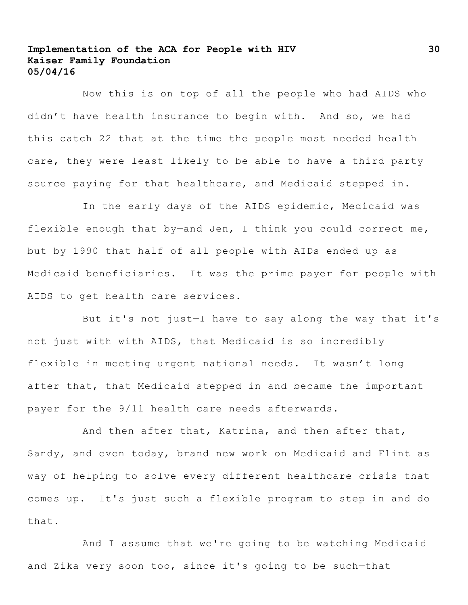Now this is on top of all the people who had AIDS who didn't have health insurance to begin with. And so, we had this catch 22 that at the time the people most needed health care, they were least likely to be able to have a third party source paying for that healthcare, and Medicaid stepped in.

In the early days of the AIDS epidemic, Medicaid was flexible enough that by-and Jen, I think you could correct me, but by 1990 that half of all people with AIDs ended up as Medicaid beneficiaries. It was the prime payer for people with AIDS to get health care services.

But it's not just—I have to say along the way that it's not just with with AIDS, that Medicaid is so incredibly flexible in meeting urgent national needs. It wasn't long after that, that Medicaid stepped in and became the important payer for the 9/11 health care needs afterwards.

And then after that, Katrina, and then after that, Sandy, and even today, brand new work on Medicaid and Flint as way of helping to solve every different healthcare crisis that comes up. It's just such a flexible program to step in and do that.

And I assume that we're going to be watching Medicaid and Zika very soon too, since it's going to be such—that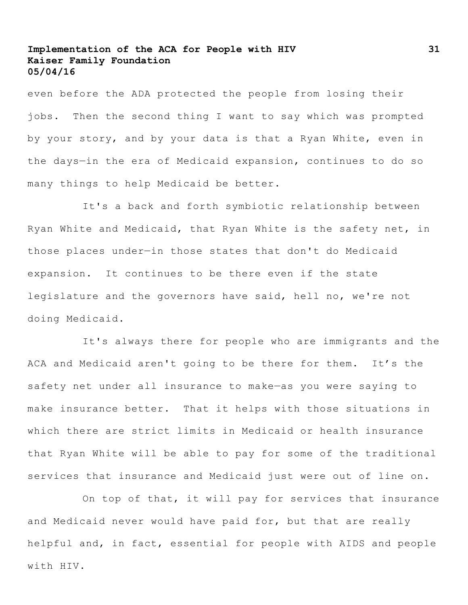even before the ADA protected the people from losing their jobs. Then the second thing I want to say which was prompted by your story, and by your data is that a Ryan White, even in the days—in the era of Medicaid expansion, continues to do so many things to help Medicaid be better.

It's a back and forth symbiotic relationship between Ryan White and Medicaid, that Ryan White is the safety net, in those places under—in those states that don't do Medicaid expansion. It continues to be there even if the state legislature and the governors have said, hell no, we're not doing Medicaid.

It's always there for people who are immigrants and the ACA and Medicaid aren't going to be there for them. It's the safety net under all insurance to make—as you were saying to make insurance better. That it helps with those situations in which there are strict limits in Medicaid or health insurance that Ryan White will be able to pay for some of the traditional services that insurance and Medicaid just were out of line on.

On top of that, it will pay for services that insurance and Medicaid never would have paid for, but that are really helpful and, in fact, essential for people with AIDS and people with HIV.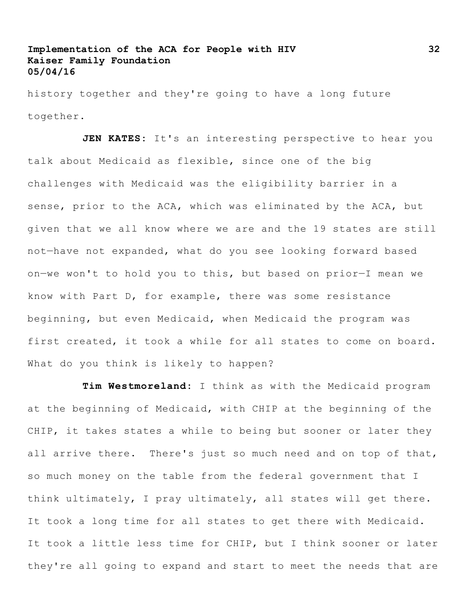history together and they're going to have a long future together.

**JEN KATES:** It's an interesting perspective to hear you talk about Medicaid as flexible, since one of the big challenges with Medicaid was the eligibility barrier in a sense, prior to the ACA, which was eliminated by the ACA, but given that we all know where we are and the 19 states are still not—have not expanded, what do you see looking forward based on—we won't to hold you to this, but based on prior—I mean we know with Part D, for example, there was some resistance beginning, but even Medicaid, when Medicaid the program was first created, it took a while for all states to come on board. What do you think is likely to happen?

**Tim Westmoreland:** I think as with the Medicaid program at the beginning of Medicaid, with CHIP at the beginning of the CHIP, it takes states a while to being but sooner or later they all arrive there. There's just so much need and on top of that, so much money on the table from the federal government that I think ultimately, I pray ultimately, all states will get there. It took a long time for all states to get there with Medicaid. It took a little less time for CHIP, but I think sooner or later they're all going to expand and start to meet the needs that are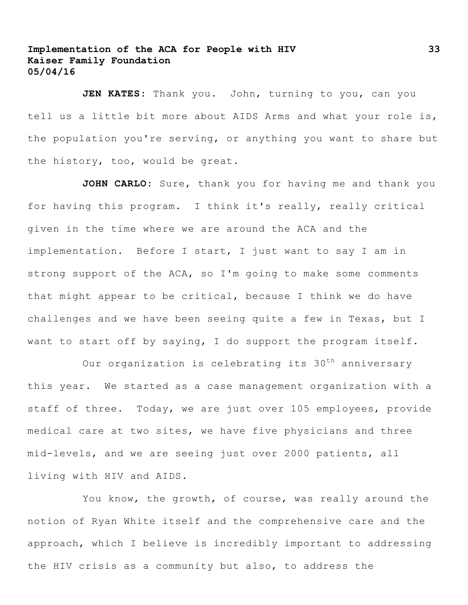JEN KATES: Thank you. John, turning to you, can you tell us a little bit more about AIDS Arms and what your role is, the population you're serving, or anything you want to share but the history, too, would be great.

**JOHN CARLO:** Sure, thank you for having me and thank you for having this program. I think it's really, really critical given in the time where we are around the ACA and the implementation. Before I start, I just want to say I am in strong support of the ACA, so I'm going to make some comments that might appear to be critical, because I think we do have challenges and we have been seeing quite a few in Texas, but I want to start off by saying, I do support the program itself.

Our organization is celebrating its 30<sup>th</sup> anniversary this year. We started as a case management organization with a staff of three. Today, we are just over 105 employees, provide medical care at two sites, we have five physicians and three mid-levels, and we are seeing just over 2000 patients, all living with HIV and AIDS.

You know, the growth, of course, was really around the notion of Ryan White itself and the comprehensive care and the approach, which I believe is incredibly important to addressing the HIV crisis as a community but also, to address the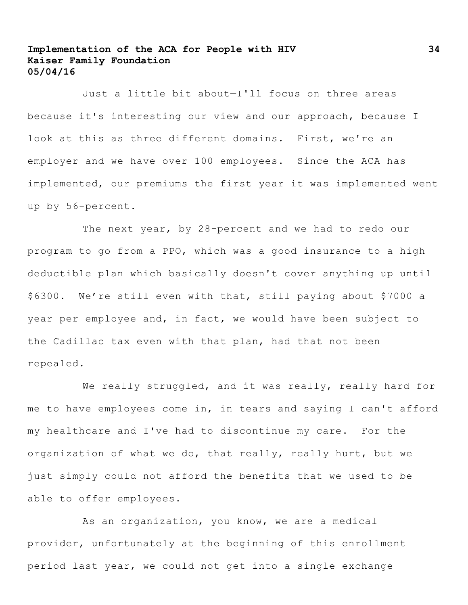Just a little bit about—I'll focus on three areas because it's interesting our view and our approach, because I look at this as three different domains. First, we're an employer and we have over 100 employees. Since the ACA has implemented, our premiums the first year it was implemented went up by 56-percent.

The next year, by 28-percent and we had to redo our program to go from a PPO, which was a good insurance to a high deductible plan which basically doesn't cover anything up until \$6300. We're still even with that, still paying about \$7000 a year per employee and, in fact, we would have been subject to the Cadillac tax even with that plan, had that not been repealed.

We really struggled, and it was really, really hard for me to have employees come in, in tears and saying I can't afford my healthcare and I've had to discontinue my care. For the organization of what we do, that really, really hurt, but we just simply could not afford the benefits that we used to be able to offer employees.

As an organization, you know, we are a medical provider, unfortunately at the beginning of this enrollment period last year, we could not get into a single exchange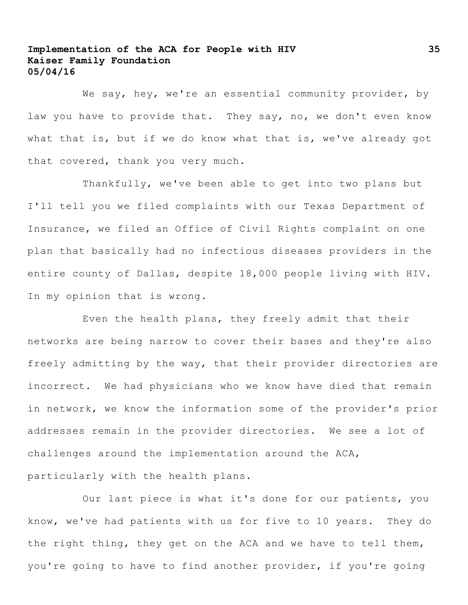We say, hey, we're an essential community provider, by law you have to provide that. They say, no, we don't even know what that is, but if we do know what that is, we've already got that covered, thank you very much.

Thankfully, we've been able to get into two plans but I'll tell you we filed complaints with our Texas Department of Insurance, we filed an Office of Civil Rights complaint on one plan that basically had no infectious diseases providers in the entire county of Dallas, despite 18,000 people living with HIV. In my opinion that is wrong.

Even the health plans, they freely admit that their networks are being narrow to cover their bases and they're also freely admitting by the way, that their provider directories are incorrect. We had physicians who we know have died that remain in network, we know the information some of the provider's prior addresses remain in the provider directories. We see a lot of challenges around the implementation around the ACA, particularly with the health plans.

Our last piece is what it's done for our patients, you know, we've had patients with us for five to 10 years. They do the right thing, they get on the ACA and we have to tell them, you're going to have to find another provider, if you're going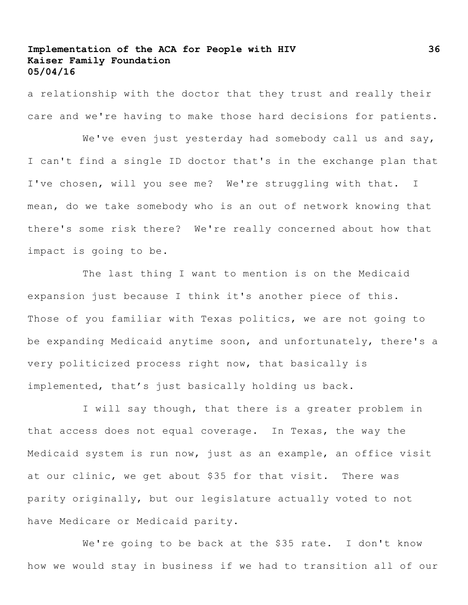a relationship with the doctor that they trust and really their care and we're having to make those hard decisions for patients.

We've even just yesterday had somebody call us and say, I can't find a single ID doctor that's in the exchange plan that I've chosen, will you see me? We're struggling with that. I mean, do we take somebody who is an out of network knowing that there's some risk there? We're really concerned about how that impact is going to be.

The last thing I want to mention is on the Medicaid expansion just because I think it's another piece of this. Those of you familiar with Texas politics, we are not going to be expanding Medicaid anytime soon, and unfortunately, there's a very politicized process right now, that basically is implemented, that's just basically holding us back.

I will say though, that there is a greater problem in that access does not equal coverage. In Texas, the way the Medicaid system is run now, just as an example, an office visit at our clinic, we get about \$35 for that visit. There was parity originally, but our legislature actually voted to not have Medicare or Medicaid parity.

We're going to be back at the \$35 rate. I don't know how we would stay in business if we had to transition all of our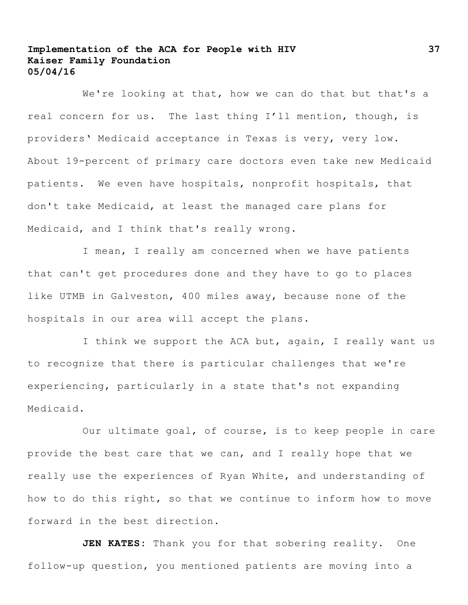We're looking at that, how we can do that but that's a real concern for us. The last thing I'll mention, though, is providers' Medicaid acceptance in Texas is very, very low. About 19-percent of primary care doctors even take new Medicaid patients. We even have hospitals, nonprofit hospitals, that don't take Medicaid, at least the managed care plans for Medicaid, and I think that's really wrong.

I mean, I really am concerned when we have patients that can't get procedures done and they have to go to places like UTMB in Galveston, 400 miles away, because none of the hospitals in our area will accept the plans.

I think we support the ACA but, again, I really want us to recognize that there is particular challenges that we're experiencing, particularly in a state that's not expanding Medicaid.

Our ultimate goal, of course, is to keep people in care provide the best care that we can, and I really hope that we really use the experiences of Ryan White, and understanding of how to do this right, so that we continue to inform how to move forward in the best direction.

**JEN KATES:** Thank you for that sobering reality. One follow-up question, you mentioned patients are moving into a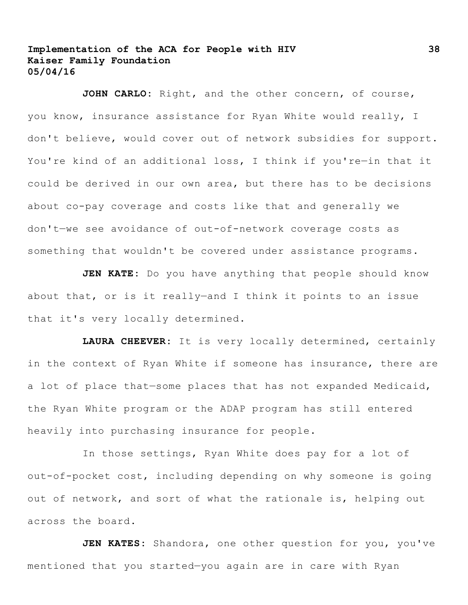**JOHN CARLO:** Right, and the other concern, of course, you know, insurance assistance for Ryan White would really, I don't believe, would cover out of network subsidies for support. You're kind of an additional loss, I think if you're—in that it could be derived in our own area, but there has to be decisions about co-pay coverage and costs like that and generally we don't—we see avoidance of out-of-network coverage costs as something that wouldn't be covered under assistance programs.

**JEN KATE:** Do you have anything that people should know about that, or is it really—and I think it points to an issue that it's very locally determined.

**LAURA CHEEVER:** It is very locally determined, certainly in the context of Ryan White if someone has insurance, there are a lot of place that—some places that has not expanded Medicaid, the Ryan White program or the ADAP program has still entered heavily into purchasing insurance for people.

In those settings, Ryan White does pay for a lot of out-of-pocket cost, including depending on why someone is going out of network, and sort of what the rationale is, helping out across the board**.** 

**JEN KATES:** Shandora, one other question for you, you've mentioned that you started—you again are in care with Ryan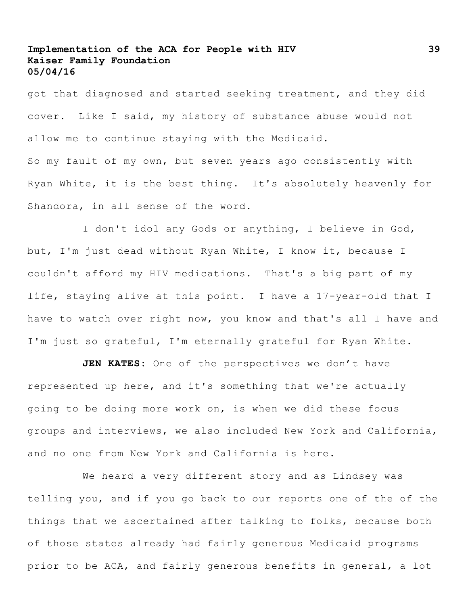got that diagnosed and started seeking treatment, and they did cover. Like I said, my history of substance abuse would not allow me to continue staying with the Medicaid. So my fault of my own, but seven years ago consistently with Ryan White, it is the best thing. It's absolutely heavenly for Shandora, in all sense of the word.

I don't idol any Gods or anything, I believe in God, but, I'm just dead without Ryan White, I know it, because I couldn't afford my HIV medications. That's a big part of my life, staying alive at this point. I have a 17-year-old that I have to watch over right now, you know and that's all I have and I'm just so grateful, I'm eternally grateful for Ryan White.

**JEN KATES:** One of the perspectives we don't have represented up here, and it's something that we're actually going to be doing more work on, is when we did these focus groups and interviews, we also included New York and California, and no one from New York and California is here.

We heard a very different story and as Lindsey was telling you, and if you go back to our reports one of the of the things that we ascertained after talking to folks, because both of those states already had fairly generous Medicaid programs prior to be ACA, and fairly generous benefits in general, a lot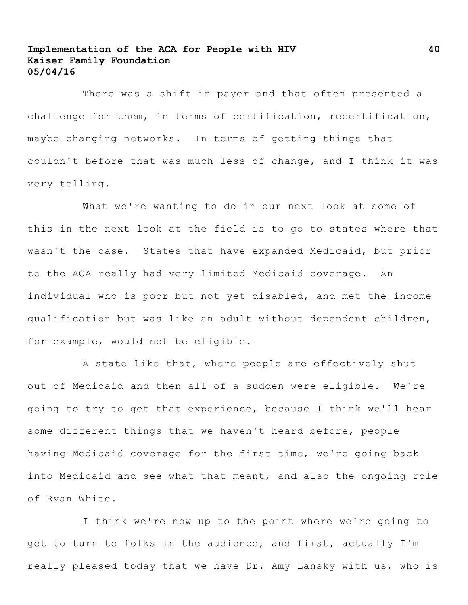There was a shift in payer and that often presented a challenge for them, in terms of certification, recertification, maybe changing networks. In terms of getting things that couldn't before that was much less of change, and I think it was very telling.

What we're wanting to do in our next look at some of this in the next look at the field is to go to states where that wasn't the case. States that have expanded Medicaid, but prior to the ACA really had very limited Medicaid coverage. An individual who is poor but not yet disabled, and met the income qualification but was like an adult without dependent children, for example, would not be eligible.

A state like that, where people are effectively shut out of Medicaid and then all of a sudden were eligible. We're going to try to get that experience, because I think we'll hear some different things that we haven't heard before, people having Medicaid coverage for the first time, we're going back into Medicaid and see what that meant, and also the ongoing role of Ryan White.

I think we're now up to the point where we're going to get to turn to folks in the audience, and first, actually I'm really pleased today that we have Dr. Amy Lansky with us, who is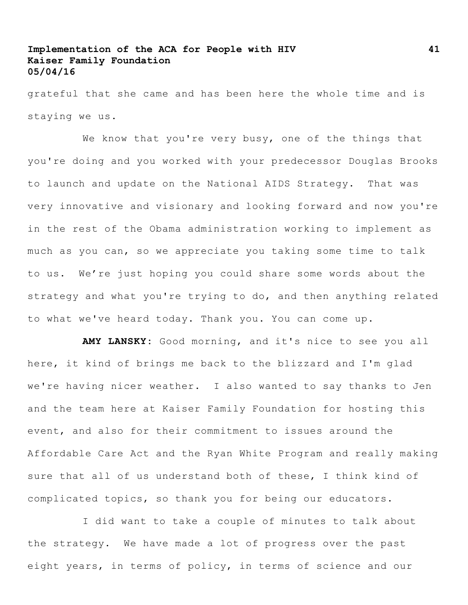grateful that she came and has been here the whole time and is staying we us.

We know that you're very busy, one of the things that you're doing and you worked with your predecessor Douglas Brooks to launch and update on the National AIDS Strategy. That was very innovative and visionary and looking forward and now you're in the rest of the Obama administration working to implement as much as you can, so we appreciate you taking some time to talk to us. We're just hoping you could share some words about the strategy and what you're trying to do, and then anything related to what we've heard today. Thank you. You can come up.

**AMY LANSKY:** Good morning, and it's nice to see you all here, it kind of brings me back to the blizzard and I'm glad we're having nicer weather. I also wanted to say thanks to Jen and the team here at Kaiser Family Foundation for hosting this event, and also for their commitment to issues around the Affordable Care Act and the Ryan White Program and really making sure that all of us understand both of these, I think kind of complicated topics, so thank you for being our educators.

I did want to take a couple of minutes to talk about the strategy. We have made a lot of progress over the past eight years, in terms of policy, in terms of science and our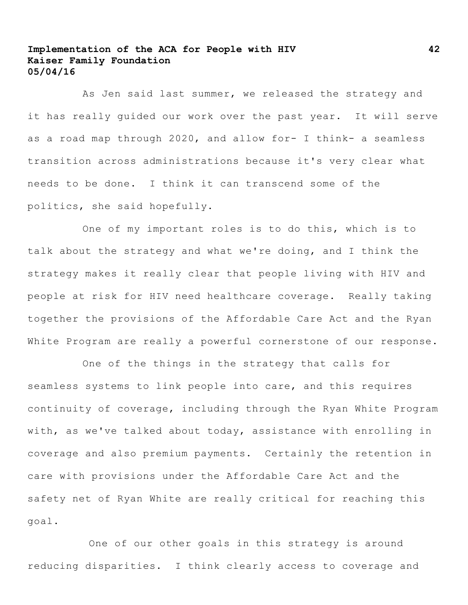As Jen said last summer, we released the strategy and it has really guided our work over the past year. It will serve as a road map through 2020, and allow for- I think- a seamless transition across administrations because it's very clear what needs to be done. I think it can transcend some of the politics, she said hopefully.

One of my important roles is to do this, which is to talk about the strategy and what we're doing, and I think the strategy makes it really clear that people living with HIV and people at risk for HIV need healthcare coverage. Really taking together the provisions of the Affordable Care Act and the Ryan White Program are really a powerful cornerstone of our response.

One of the things in the strategy that calls for seamless systems to link people into care, and this requires continuity of coverage, including through the Ryan White Program with, as we've talked about today, assistance with enrolling in coverage and also premium payments. Certainly the retention in care with provisions under the Affordable Care Act and the safety net of Ryan White are really critical for reaching this goal.

One of our other goals in this strategy is around reducing disparities. I think clearly access to coverage and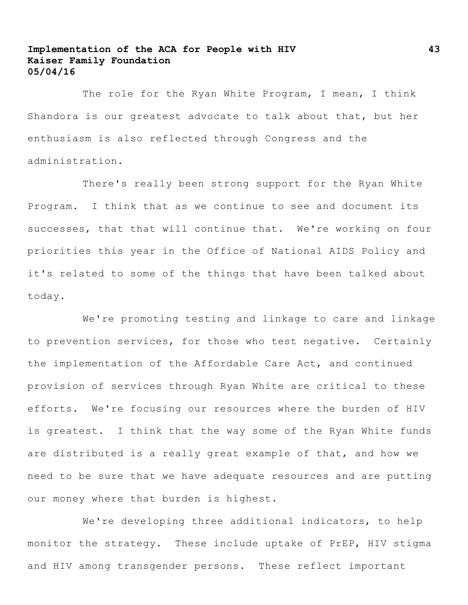The role for the Ryan White Program, I mean, I think Shandora is our greatest advocate to talk about that, but her enthusiasm is also reflected through Congress and the administration.

There's really been strong support for the Ryan White Program. I think that as we continue to see and document its successes, that that will continue that. We're working on four priorities this year in the Office of National AIDS Policy and it's related to some of the things that have been talked about today.

We're promoting testing and linkage to care and linkage to prevention services, for those who test negative. Certainly the implementation of the Affordable Care Act, and continued provision of services through Ryan White are critical to these efforts. We're focusing our resources where the burden of HIV is greatest. I think that the way some of the Ryan White funds are distributed is a really great example of that, and how we need to be sure that we have adequate resources and are putting our money where that burden is highest.

We're developing three additional indicators, to help monitor the strategy. These include uptake of PrEP, HIV stigma and HIV among transgender persons. These reflect important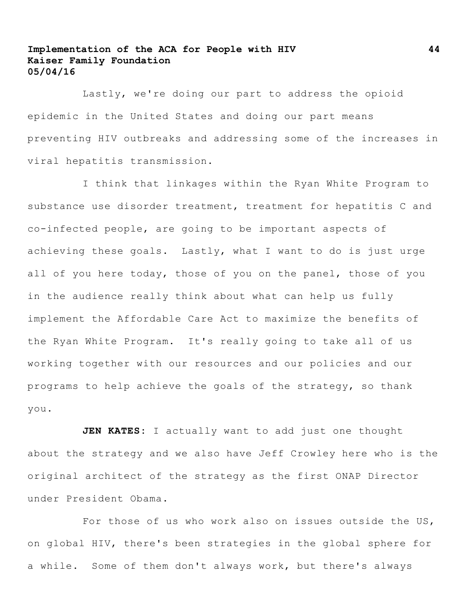Lastly, we're doing our part to address the opioid epidemic in the United States and doing our part means preventing HIV outbreaks and addressing some of the increases in viral hepatitis transmission.

I think that linkages within the Ryan White Program to substance use disorder treatment, treatment for hepatitis C and co-infected people, are going to be important aspects of achieving these goals. Lastly, what I want to do is just urge all of you here today, those of you on the panel, those of you in the audience really think about what can help us fully implement the Affordable Care Act to maximize the benefits of the Ryan White Program. It's really going to take all of us working together with our resources and our policies and our programs to help achieve the goals of the strategy, so thank you.

**JEN KATES:** I actually want to add just one thought about the strategy and we also have Jeff Crowley here who is the original architect of the strategy as the first ONAP Director under President Obama.

For those of us who work also on issues outside the US, on global HIV, there's been strategies in the global sphere for a while. Some of them don't always work, but there's always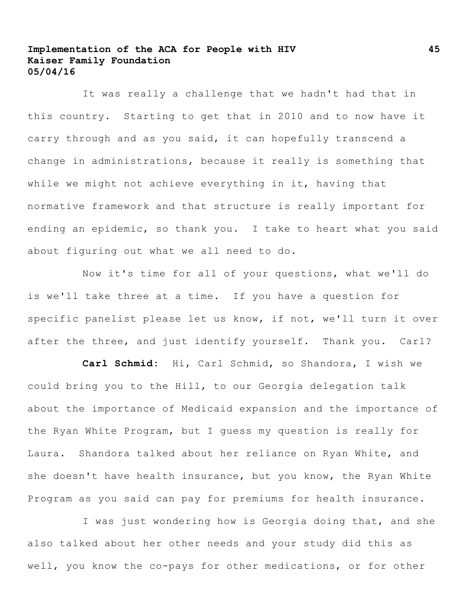It was really a challenge that we hadn't had that in this country. Starting to get that in 2010 and to now have it carry through and as you said, it can hopefully transcend a change in administrations, because it really is something that while we might not achieve everything in it, having that normative framework and that structure is really important for ending an epidemic, so thank you. I take to heart what you said about figuring out what we all need to do.

Now it's time for all of your questions, what we'll do is we'll take three at a time. If you have a question for specific panelist please let us know, if not, we'll turn it over after the three, and just identify yourself. Thank you. Carl?

**Carl Schmid:** Hi, Carl Schmid, so Shandora, I wish we could bring you to the Hill, to our Georgia delegation talk about the importance of Medicaid expansion and the importance of the Ryan White Program, but I guess my question is really for Laura. Shandora talked about her reliance on Ryan White, and she doesn't have health insurance, but you know, the Ryan White Program as you said can pay for premiums for health insurance.

I was just wondering how is Georgia doing that, and she also talked about her other needs and your study did this as well, you know the co-pays for other medications, or for other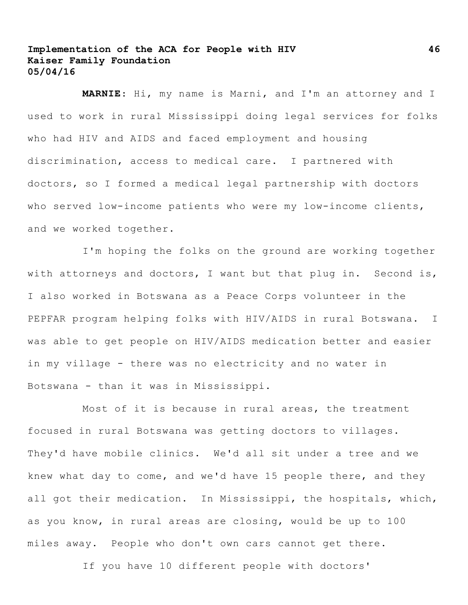**MARNIE**: Hi, my name is Marni, and I'm an attorney and I used to work in rural Mississippi doing legal services for folks who had HIV and AIDS and faced employment and housing discrimination, access to medical care. I partnered with doctors, so I formed a medical legal partnership with doctors who served low-income patients who were my low-income clients, and we worked together.

I'm hoping the folks on the ground are working together with attorneys and doctors, I want but that plug in. Second is, I also worked in Botswana as a Peace Corps volunteer in the PEPFAR program helping folks with HIV/AIDS in rural Botswana. I was able to get people on HIV/AIDS medication better and easier in my village - there was no electricity and no water in Botswana - than it was in Mississippi.

Most of it is because in rural areas, the treatment focused in rural Botswana was getting doctors to villages. They'd have mobile clinics. We'd all sit under a tree and we knew what day to come, and we'd have 15 people there, and they all got their medication. In Mississippi, the hospitals, which, as you know, in rural areas are closing, would be up to 100 miles away. People who don't own cars cannot get there.

If you have 10 different people with doctors'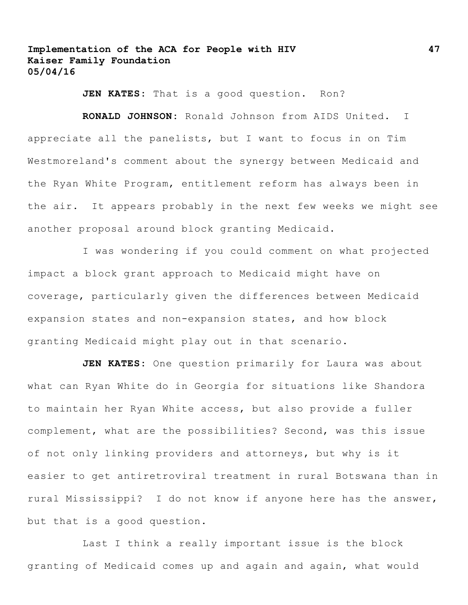**JEN KATES:** That is a good question. Ron?

**RONALD JOHNSON:** Ronald Johnson from AIDS United. I appreciate all the panelists, but I want to focus in on Tim Westmoreland's comment about the synergy between Medicaid and the Ryan White Program, entitlement reform has always been in the air. It appears probably in the next few weeks we might see another proposal around block granting Medicaid.

I was wondering if you could comment on what projected impact a block grant approach to Medicaid might have on coverage, particularly given the differences between Medicaid expansion states and non-expansion states, and how block granting Medicaid might play out in that scenario.

**JEN KATES:** One question primarily for Laura was about what can Ryan White do in Georgia for situations like Shandora to maintain her Ryan White access, but also provide a fuller complement, what are the possibilities? Second, was this issue of not only linking providers and attorneys, but why is it easier to get antiretroviral treatment in rural Botswana than in rural Mississippi? I do not know if anyone here has the answer, but that is a good question.

Last I think a really important issue is the block granting of Medicaid comes up and again and again, what would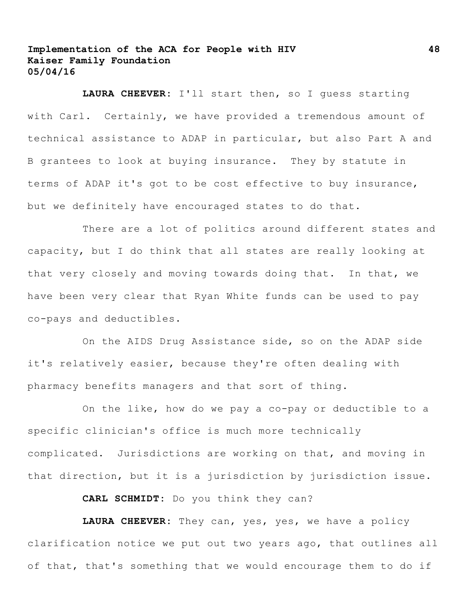**LAURA CHEEVER:** I'll start then, so I guess starting with Carl. Certainly, we have provided a tremendous amount of technical assistance to ADAP in particular, but also Part A and B grantees to look at buying insurance. They by statute in terms of ADAP it's got to be cost effective to buy insurance, but we definitely have encouraged states to do that.

There are a lot of politics around different states and capacity, but I do think that all states are really looking at that very closely and moving towards doing that. In that, we have been very clear that Ryan White funds can be used to pay co-pays and deductibles.

On the AIDS Drug Assistance side, so on the ADAP side it's relatively easier, because they're often dealing with pharmacy benefits managers and that sort of thing.

On the like, how do we pay a co-pay or deductible to a specific clinician's office is much more technically complicated. Jurisdictions are working on that, and moving in that direction, but it is a jurisdiction by jurisdiction issue.

**CARL SCHMIDT:** Do you think they can?

**LAURA CHEEVER:** They can, yes, yes, we have a policy clarification notice we put out two years ago, that outlines all of that, that's something that we would encourage them to do if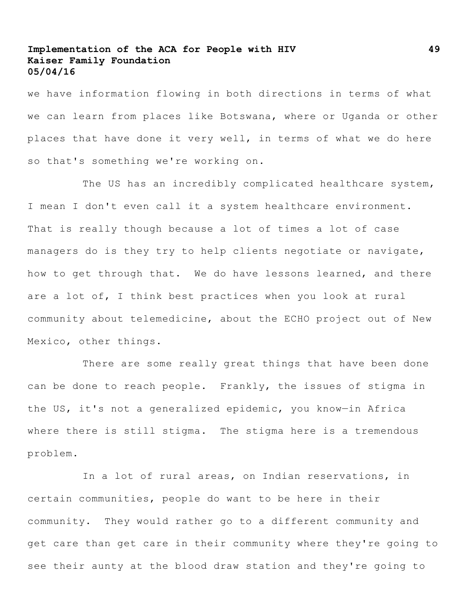we have information flowing in both directions in terms of what we can learn from places like Botswana, where or Uganda or other places that have done it very well, in terms of what we do here so that's something we're working on.

The US has an incredibly complicated healthcare system, I mean I don't even call it a system healthcare environment. That is really though because a lot of times a lot of case managers do is they try to help clients negotiate or navigate, how to get through that. We do have lessons learned, and there are a lot of, I think best practices when you look at rural community about telemedicine, about the ECHO project out of New Mexico, other things.

There are some really great things that have been done can be done to reach people. Frankly, the issues of stigma in the US, it's not a generalized epidemic, you know—in Africa where there is still stigma. The stigma here is a tremendous problem.

In a lot of rural areas, on Indian reservations, in certain communities, people do want to be here in their community. They would rather go to a different community and get care than get care in their community where they're going to see their aunty at the blood draw station and they're going to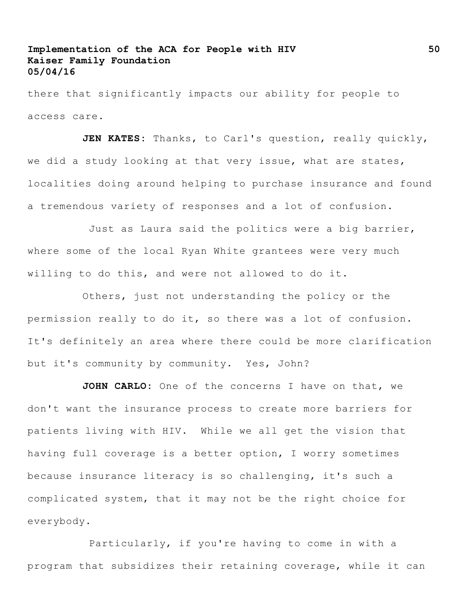there that significantly impacts our ability for people to access care.

JEN KATES: Thanks, to Carl's question, really quickly, we did a study looking at that very issue, what are states, localities doing around helping to purchase insurance and found a tremendous variety of responses and a lot of confusion.

Just as Laura said the politics were a big barrier, where some of the local Ryan White grantees were very much willing to do this, and were not allowed to do it.

Others, just not understanding the policy or the permission really to do it, so there was a lot of confusion. It's definitely an area where there could be more clarification but it's community by community. Yes, John?

**JOHN CARLO:** One of the concerns I have on that, we don't want the insurance process to create more barriers for patients living with HIV. While we all get the vision that having full coverage is a better option, I worry sometimes because insurance literacy is so challenging, it's such a complicated system, that it may not be the right choice for everybody.

Particularly, if you're having to come in with a program that subsidizes their retaining coverage, while it can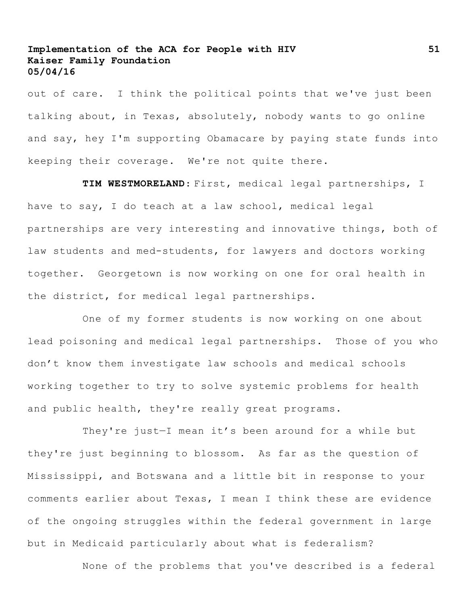out of care. I think the political points that we've just been talking about, in Texas, absolutely, nobody wants to go online and say, hey I'm supporting Obamacare by paying state funds into keeping their coverage. We're not quite there.

**TIM WESTMORELAND**: First, medical legal partnerships, I have to say, I do teach at a law school, medical legal partnerships are very interesting and innovative things, both of law students and med-students, for lawyers and doctors working together. Georgetown is now working on one for oral health in the district, for medical legal partnerships.

One of my former students is now working on one about lead poisoning and medical legal partnerships. Those of you who don't know them investigate law schools and medical schools working together to try to solve systemic problems for health and public health, they're really great programs.

They're just—I mean it's been around for a while but they're just beginning to blossom. As far as the question of Mississippi, and Botswana and a little bit in response to your comments earlier about Texas, I mean I think these are evidence of the ongoing struggles within the federal government in large but in Medicaid particularly about what is federalism?

None of the problems that you've described is a federal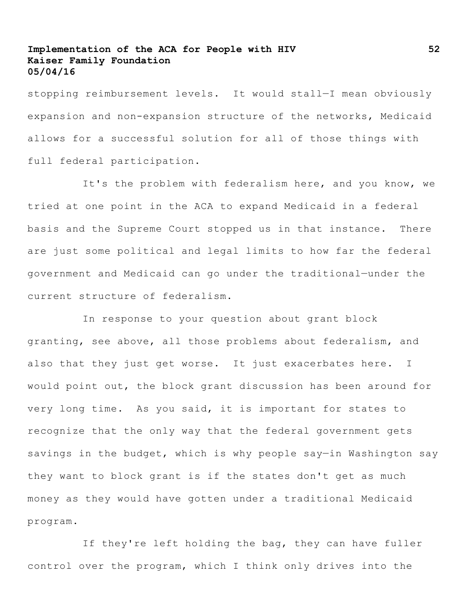stopping reimbursement levels. It would stall—I mean obviously expansion and non-expansion structure of the networks, Medicaid allows for a successful solution for all of those things with full federal participation.

It's the problem with federalism here, and you know, we tried at one point in the ACA to expand Medicaid in a federal basis and the Supreme Court stopped us in that instance. There are just some political and legal limits to how far the federal government and Medicaid can go under the traditional—under the current structure of federalism.

In response to your question about grant block granting, see above, all those problems about federalism, and also that they just get worse. It just exacerbates here. I would point out, the block grant discussion has been around for very long time. As you said, it is important for states to recognize that the only way that the federal government gets savings in the budget, which is why people say—in Washington say they want to block grant is if the states don't get as much money as they would have gotten under a traditional Medicaid program.

If they're left holding the bag, they can have fuller control over the program, which I think only drives into the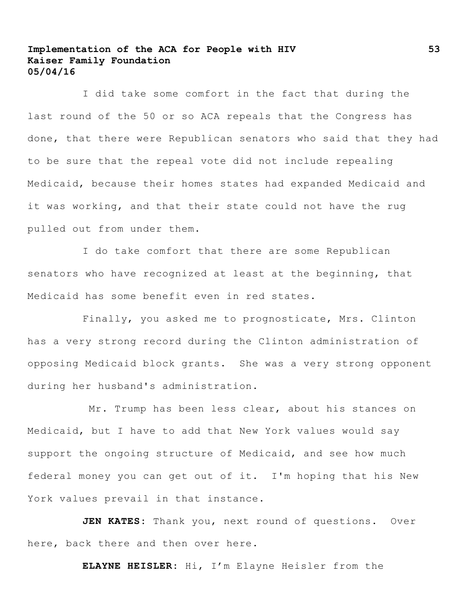I did take some comfort in the fact that during the last round of the 50 or so ACA repeals that the Congress has done, that there were Republican senators who said that they had to be sure that the repeal vote did not include repealing Medicaid, because their homes states had expanded Medicaid and it was working, and that their state could not have the rug pulled out from under them.

I do take comfort that there are some Republican senators who have recognized at least at the beginning, that Medicaid has some benefit even in red states.

Finally, you asked me to prognosticate, Mrs. Clinton has a very strong record during the Clinton administration of opposing Medicaid block grants. She was a very strong opponent during her husband's administration.

Mr. Trump has been less clear, about his stances on Medicaid, but I have to add that New York values would say support the ongoing structure of Medicaid, and see how much federal money you can get out of it. I'm hoping that his New York values prevail in that instance.

**JEN KATES:** Thank you, next round of questions. Over here, back there and then over here.

**ELAYNE HEISLER:** Hi, I'm Elayne Heisler from the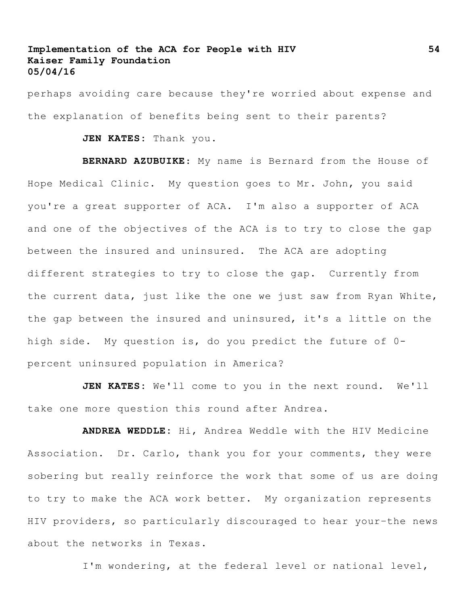perhaps avoiding care because they're worried about expense and the explanation of benefits being sent to their parents?

**JEN KATES:** Thank you.

**BERNARD AZUBUIKE**: My name is Bernard from the House of Hope Medical Clinic. My question goes to Mr. John, you said you're a great supporter of ACA. I'm also a supporter of ACA and one of the objectives of the ACA is to try to close the gap between the insured and uninsured. The ACA are adopting different strategies to try to close the gap. Currently from the current data, just like the one we just saw from Ryan White, the gap between the insured and uninsured, it's a little on the high side. My question is, do you predict the future of 0 percent uninsured population in America?

**JEN KATES:** We'll come to you in the next round. We'll take one more question this round after Andrea.

**ANDREA WEDDLE:** Hi, Andrea Weddle with the HIV Medicine Association. Dr. Carlo, thank you for your comments, they were sobering but really reinforce the work that some of us are doing to try to make the ACA work better. My organization represents HIV providers, so particularly discouraged to hear your–the news about the networks in Texas.

I'm wondering, at the federal level or national level,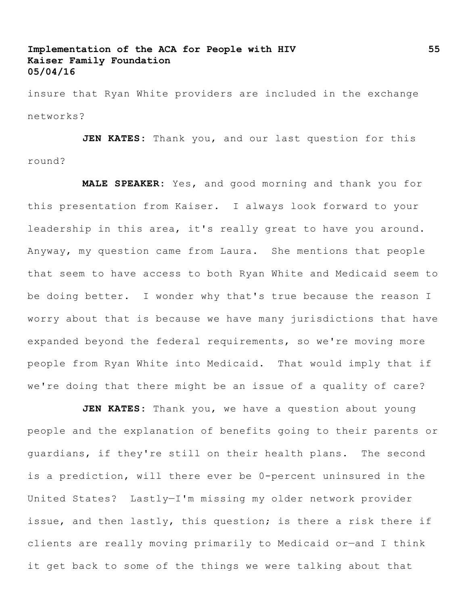insure that Ryan White providers are included in the exchange networks?

**JEN KATES:** Thank you, and our last question for this round?

**MALE SPEAKER:** Yes, and good morning and thank you for this presentation from Kaiser. I always look forward to your leadership in this area, it's really great to have you around. Anyway, my question came from Laura. She mentions that people that seem to have access to both Ryan White and Medicaid seem to be doing better. I wonder why that's true because the reason I worry about that is because we have many jurisdictions that have expanded beyond the federal requirements, so we're moving more people from Ryan White into Medicaid. That would imply that if we're doing that there might be an issue of a quality of care?

**JEN KATES:** Thank you, we have a question about young people and the explanation of benefits going to their parents or guardians, if they're still on their health plans. The second is a prediction, will there ever be 0-percent uninsured in the United States? Lastly—I'm missing my older network provider issue, and then lastly, this question; is there a risk there if clients are really moving primarily to Medicaid or—and I think it get back to some of the things we were talking about that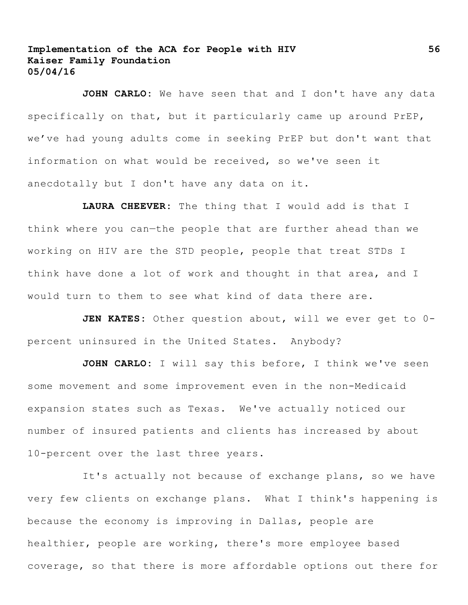**JOHN CARLO:** We have seen that and I don't have any data specifically on that, but it particularly came up around PrEP, we've had young adults come in seeking PrEP but don't want that information on what would be received, so we've seen it anecdotally but I don't have any data on it.

**LAURA CHEEVER:** The thing that I would add is that I think where you can—the people that are further ahead than we working on HIV are the STD people, people that treat STDs I think have done a lot of work and thought in that area, and I would turn to them to see what kind of data there are.

JEN KATES: Other question about, will we ever get to 0percent uninsured in the United States. Anybody?

JOHN CARLO: I will say this before, I think we've seen some movement and some improvement even in the non-Medicaid expansion states such as Texas. We've actually noticed our number of insured patients and clients has increased by about 10-percent over the last three years.

It's actually not because of exchange plans, so we have very few clients on exchange plans. What I think's happening is because the economy is improving in Dallas, people are healthier, people are working, there's more employee based coverage, so that there is more affordable options out there for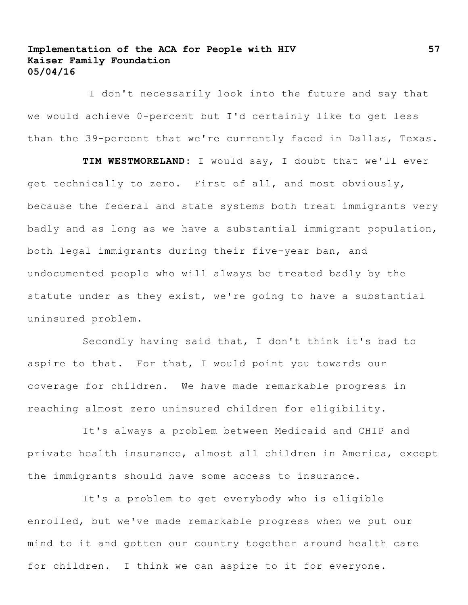I don't necessarily look into the future and say that we would achieve 0-percent but I'd certainly like to get less than the 39-percent that we're currently faced in Dallas, Texas.

**TIM WESTMORELAND:** I would say, I doubt that we'll ever get technically to zero. First of all, and most obviously, because the federal and state systems both treat immigrants very badly and as long as we have a substantial immigrant population, both legal immigrants during their five-year ban, and undocumented people who will always be treated badly by the statute under as they exist, we're going to have a substantial uninsured problem.

Secondly having said that, I don't think it's bad to aspire to that. For that, I would point you towards our coverage for children. We have made remarkable progress in reaching almost zero uninsured children for eligibility.

It's always a problem between Medicaid and CHIP and private health insurance, almost all children in America, except the immigrants should have some access to insurance.

It's a problem to get everybody who is eligible enrolled, but we've made remarkable progress when we put our mind to it and gotten our country together around health care for children. I think we can aspire to it for everyone.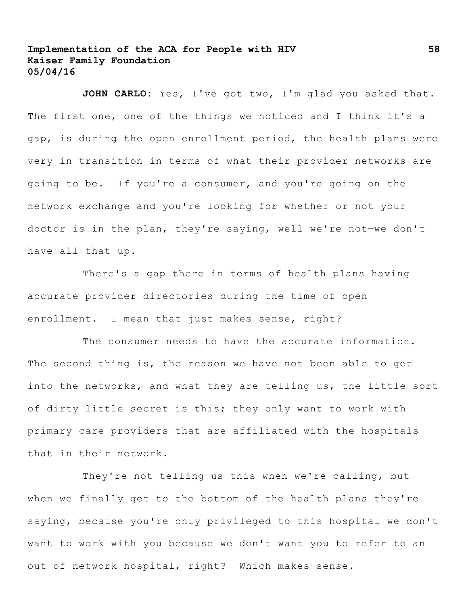JOHN CARLO: Yes, I've got two, I'm glad you asked that. The first one, one of the things we noticed and I think it's a gap, is during the open enrollment period, the health plans were very in transition in terms of what their provider networks are going to be. If you're a consumer, and you're going on the network exchange and you're looking for whether or not your doctor is in the plan, they're saying, well we're not—we don't have all that up.

There's a gap there in terms of health plans having accurate provider directories during the time of open enrollment. I mean that just makes sense, right?

The consumer needs to have the accurate information. The second thing is, the reason we have not been able to get into the networks, and what they are telling us, the little sort of dirty little secret is this; they only want to work with primary care providers that are affiliated with the hospitals that in their network.

They're not telling us this when we're calling, but when we finally get to the bottom of the health plans they're saying, because you're only privileged to this hospital we don't want to work with you because we don't want you to refer to an out of network hospital, right? Which makes sense.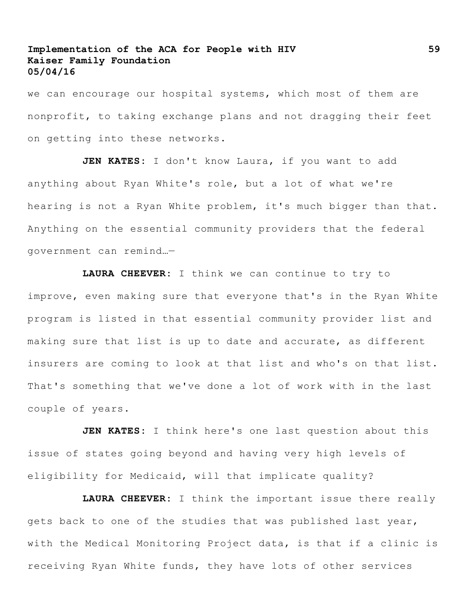we can encourage our hospital systems, which most of them are nonprofit, to taking exchange plans and not dragging their feet on getting into these networks.

**JEN KATES:** I don't know Laura, if you want to add anything about Ryan White's role, but a lot of what we're hearing is not a Ryan White problem, it's much bigger than that. Anything on the essential community providers that the federal government can remind…—

**LAURA CHEEVER:** I think we can continue to try to improve, even making sure that everyone that's in the Ryan White program is listed in that essential community provider list and making sure that list is up to date and accurate, as different insurers are coming to look at that list and who's on that list. That's something that we've done a lot of work with in the last couple of years.

**JEN KATES:** I think here's one last question about this issue of states going beyond and having very high levels of eligibility for Medicaid, will that implicate quality?

**LAURA CHEEVER:** I think the important issue there really gets back to one of the studies that was published last year, with the Medical Monitoring Project data, is that if a clinic is receiving Ryan White funds, they have lots of other services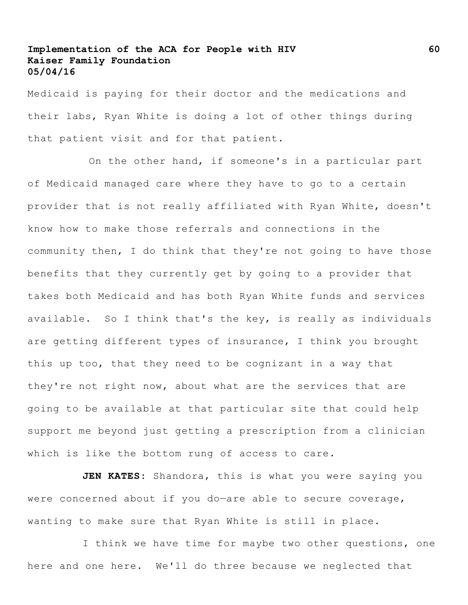Medicaid is paying for their doctor and the medications and their labs, Ryan White is doing a lot of other things during that patient visit and for that patient.

On the other hand, if someone's in a particular part of Medicaid managed care where they have to go to a certain provider that is not really affiliated with Ryan White, doesn't know how to make those referrals and connections in the community then, I do think that they're not going to have those benefits that they currently get by going to a provider that takes both Medicaid and has both Ryan White funds and services available. So I think that's the key, is really as individuals are getting different types of insurance, I think you brought this up too, that they need to be cognizant in a way that they're not right now, about what are the services that are going to be available at that particular site that could help support me beyond just getting a prescription from a clinician which is like the bottom rung of access to care.

**JEN KATES:** Shandora, this is what you were saying you were concerned about if you do-are able to secure coverage, wanting to make sure that Ryan White is still in place.

I think we have time for maybe two other questions, one here and one here. We'll do three because we neglected that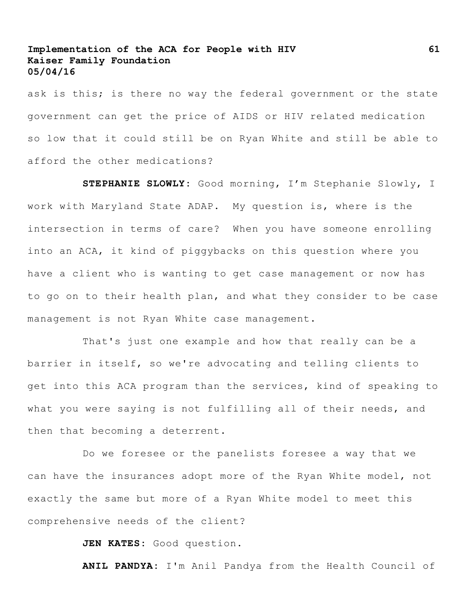ask is this; is there no way the federal government or the state government can get the price of AIDS or HIV related medication so low that it could still be on Ryan White and still be able to afford the other medications?

**STEPHANIE SLOWLY:** Good morning, I'm Stephanie Slowly, I work with Maryland State ADAP. My question is, where is the intersection in terms of care? When you have someone enrolling into an ACA, it kind of piggybacks on this question where you have a client who is wanting to get case management or now has to go on to their health plan, and what they consider to be case management is not Ryan White case management.

That's just one example and how that really can be a barrier in itself, so we're advocating and telling clients to get into this ACA program than the services, kind of speaking to what you were saying is not fulfilling all of their needs, and then that becoming a deterrent.

Do we foresee or the panelists foresee a way that we can have the insurances adopt more of the Ryan White model, not exactly the same but more of a Ryan White model to meet this comprehensive needs of the client?

**JEN KATES:** Good question.

**ANIL PANDYA:** I'm Anil Pandya from the Health Council of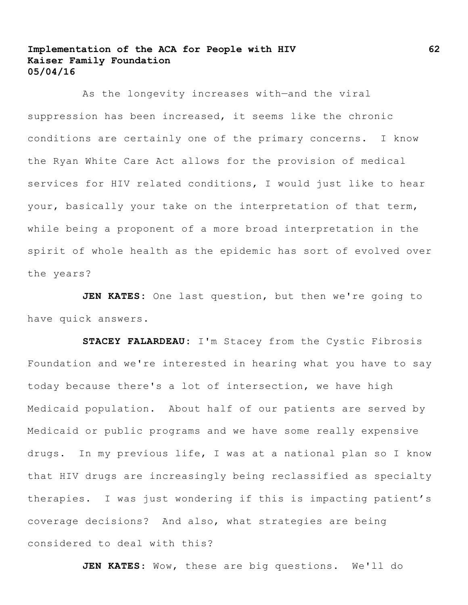As the longevity increases with—and the viral suppression has been increased, it seems like the chronic conditions are certainly one of the primary concerns. I know the Ryan White Care Act allows for the provision of medical services for HIV related conditions, I would just like to hear your, basically your take on the interpretation of that term, while being a proponent of a more broad interpretation in the spirit of whole health as the epidemic has sort of evolved over the years?

**JEN KATES:** One last question, but then we're going to have quick answers.

**STACEY FALARDEAU:** I'm Stacey from the Cystic Fibrosis Foundation and we're interested in hearing what you have to say today because there's a lot of intersection, we have high Medicaid population. About half of our patients are served by Medicaid or public programs and we have some really expensive drugs. In my previous life, I was at a national plan so I know that HIV drugs are increasingly being reclassified as specialty therapies. I was just wondering if this is impacting patient's coverage decisions? And also, what strategies are being considered to deal with this?

**JEN KATES**: Wow, these are big questions. We'll do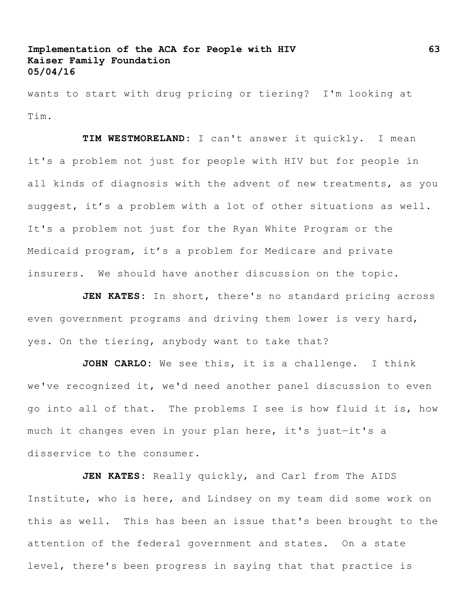wants to start with drug pricing or tiering? I'm looking at Tim.

**TIM WESTMORELAND:** I can't answer it quickly. I mean it's a problem not just for people with HIV but for people in all kinds of diagnosis with the advent of new treatments, as you suggest, it's a problem with a lot of other situations as well. It's a problem not just for the Ryan White Program or the Medicaid program, it's a problem for Medicare and private insurers. We should have another discussion on the topic.

**JEN KATES:** In short, there's no standard pricing across even government programs and driving them lower is very hard, yes. On the tiering, anybody want to take that?

**JOHN CARLO:** We see this, it is a challenge. I think we've recognized it, we'd need another panel discussion to even go into all of that. The problems I see is how fluid it is, how much it changes even in your plan here, it's just—it's a disservice to the consumer.

**JEN KATES:** Really quickly, and Carl from The AIDS Institute, who is here, and Lindsey on my team did some work on this as well. This has been an issue that's been brought to the attention of the federal government and states. On a state level, there's been progress in saying that that practice is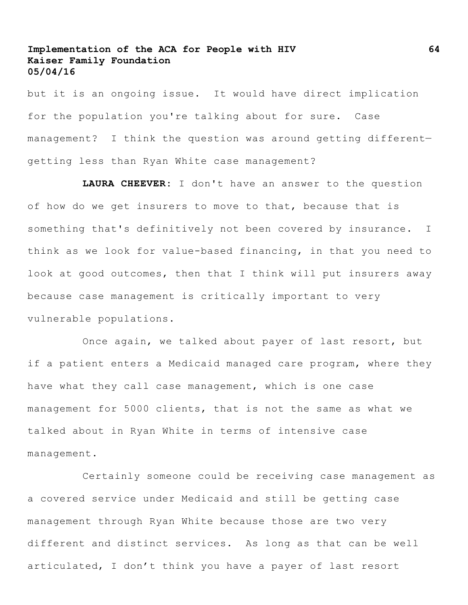but it is an ongoing issue. It would have direct implication for the population you're talking about for sure. Case management? I think the question was around getting different getting less than Ryan White case management?

**LAURA CHEEVER:** I don't have an answer to the question of how do we get insurers to move to that, because that is something that's definitively not been covered by insurance. I think as we look for value-based financing, in that you need to look at good outcomes, then that I think will put insurers away because case management is critically important to very vulnerable populations.

Once again, we talked about payer of last resort, but if a patient enters a Medicaid managed care program, where they have what they call case management, which is one case management for 5000 clients, that is not the same as what we talked about in Ryan White in terms of intensive case management.

Certainly someone could be receiving case management as a covered service under Medicaid and still be getting case management through Ryan White because those are two very different and distinct services. As long as that can be well articulated, I don't think you have a payer of last resort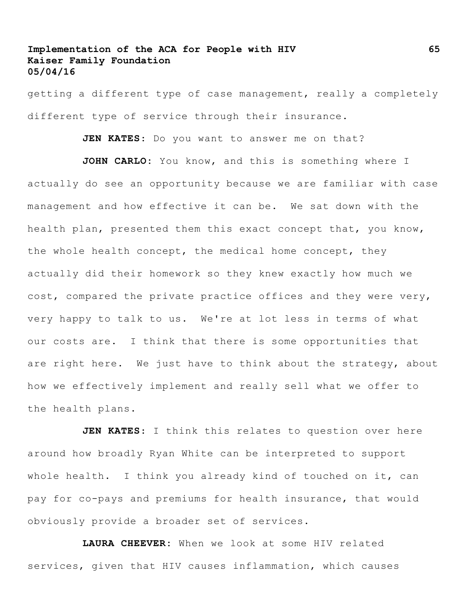getting a different type of case management, really a completely different type of service through their insurance.

**JEN KATES**: Do you want to answer me on that?

**JOHN CARLO:** You know, and this is something where I actually do see an opportunity because we are familiar with case management and how effective it can be. We sat down with the health plan, presented them this exact concept that, you know, the whole health concept, the medical home concept, they actually did their homework so they knew exactly how much we cost, compared the private practice offices and they were very, very happy to talk to us. We're at lot less in terms of what our costs are. I think that there is some opportunities that are right here. We just have to think about the strategy, about how we effectively implement and really sell what we offer to the health plans.

**JEN KATES**: I think this relates to question over here around how broadly Ryan White can be interpreted to support whole health. I think you already kind of touched on it, can pay for co-pays and premiums for health insurance, that would obviously provide a broader set of services.

**LAURA CHEEVER:** When we look at some HIV related services, given that HIV causes inflammation, which causes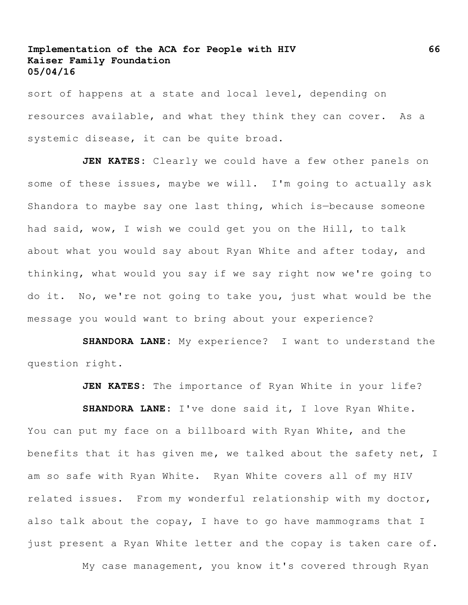sort of happens at a state and local level, depending on resources available, and what they think they can cover. As a systemic disease, it can be quite broad.

**JEN KATES:** Clearly we could have a few other panels on some of these issues, maybe we will. I'm going to actually ask Shandora to maybe say one last thing, which is—because someone had said, wow, I wish we could get you on the Hill, to talk about what you would say about Ryan White and after today, and thinking, what would you say if we say right now we're going to do it. No, we're not going to take you, just what would be the message you would want to bring about your experience?

**SHANDORA LANE:** My experience? I want to understand the question right.

**JEN KATES:** The importance of Ryan White in your life?

**SHANDORA LANE:** I've done said it, I love Ryan White. You can put my face on a billboard with Ryan White, and the benefits that it has given me, we talked about the safety net, I am so safe with Ryan White. Ryan White covers all of my HIV related issues. From my wonderful relationship with my doctor, also talk about the copay, I have to go have mammograms that I just present a Ryan White letter and the copay is taken care of.

My case management, you know it's covered through Ryan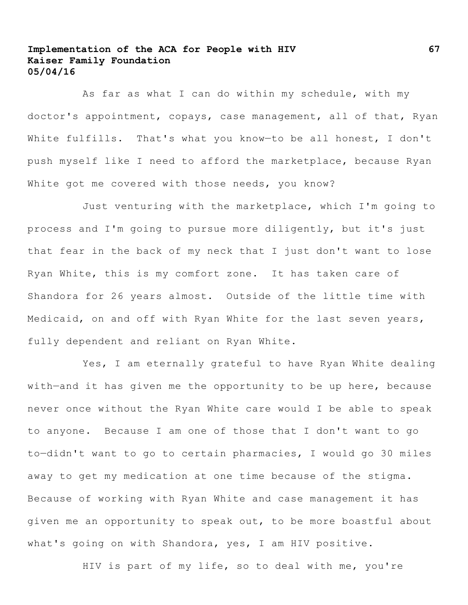As far as what I can do within my schedule, with my doctor's appointment, copays, case management, all of that, Ryan White fulfills. That's what you know-to be all honest, I don't push myself like I need to afford the marketplace, because Ryan White got me covered with those needs, you know?

Just venturing with the marketplace, which I'm going to process and I'm going to pursue more diligently, but it's just that fear in the back of my neck that I just don't want to lose Ryan White, this is my comfort zone. It has taken care of Shandora for 26 years almost. Outside of the little time with Medicaid, on and off with Ryan White for the last seven years, fully dependent and reliant on Ryan White.

Yes, I am eternally grateful to have Ryan White dealing with—and it has given me the opportunity to be up here, because never once without the Ryan White care would I be able to speak to anyone. Because I am one of those that I don't want to go to—didn't want to go to certain pharmacies, I would go 30 miles away to get my medication at one time because of the stigma. Because of working with Ryan White and case management it has given me an opportunity to speak out, to be more boastful about what's going on with Shandora, yes, I am HIV positive.

HIV is part of my life, so to deal with me, you're